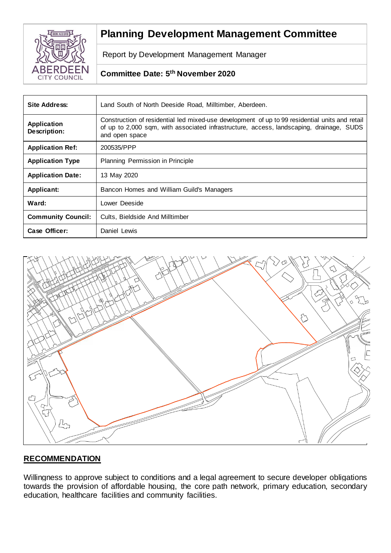

# **Planning Development Management Committee**

Report by Development Management Manager

# **Committee Date: 5 th November 2020**

| <b>Site Address:</b>               | Land South of North Deeside Road, Milltimber, Aberdeen.                                                                                                                                                     |
|------------------------------------|-------------------------------------------------------------------------------------------------------------------------------------------------------------------------------------------------------------|
| <b>Application</b><br>Description: | Construction of residential led mixed-use development of up to 99 residential units and retail<br>of up to 2,000 sqm, with associated infrastructure, access, landscaping, drainage, SUDS<br>and open space |
| <b>Application Ref:</b>            | 200535/PPP                                                                                                                                                                                                  |
| <b>Application Type</b>            | Planning Permission in Principle                                                                                                                                                                            |
| <b>Application Date:</b>           | 13 May 2020                                                                                                                                                                                                 |
| Applicant:                         | Bancon Homes and William Guild's Managers                                                                                                                                                                   |
| Ward:                              | Lower Deeside                                                                                                                                                                                               |
| <b>Community Council:</b>          | Cults, Bieldside And Milltimber                                                                                                                                                                             |
| Case Officer:                      | Daniel Lewis                                                                                                                                                                                                |



# **RECOMMENDATION**

Willingness to approve subject to conditions and a legal agreement to secure developer obligations towards the provision of affordable housing, the core path network, primary education, secondary education, healthcare facilities and community facilities.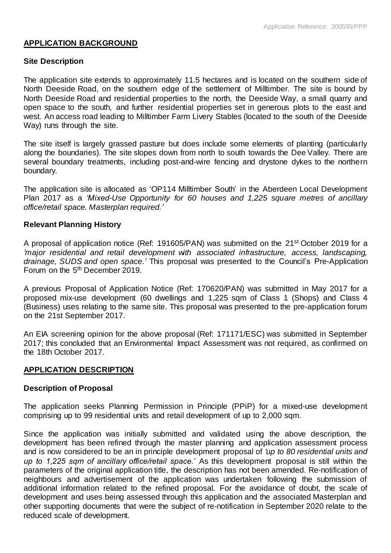# **APPLICATION BACKGROUND**

# **Site Description**

The application site extends to approximately 11.5 hectares and is located on the southern side of North Deeside Road, on the southern edge of the settlement of Milltimber. The site is bound by North Deeside Road and residential properties to the north, the Deeside Way, a small quarry and open space to the south, and further residential properties set in generous plots to the east and west. An access road leading to Milltimber Farm Livery Stables (located to the south of the Deeside Way) runs through the site.

The site itself is largely grassed pasture but does include some elements of planting (particularly along the boundaries). The site slopes down from north to south towards the Dee Valley. There are several boundary treatments, including post-and-wire fencing and drystone dykes to the northern boundary.

The application site is allocated as 'OP114 Milltimber South' in the Aberdeen Local Development Plan 2017 as a *'Mixed-Use Opportunity for 60 houses and 1,225 square metres of ancillary office/retail space. Masterplan required.'*

# **Relevant Planning History**

A proposal of application notice (Ref: 191605/PAN) was submitted on the 21st October 2019 for a *'major residential and retail development with associated infrastructure, access, landscaping, drainage, SUDS and open space.'* This proposal was presented to the Council's Pre-Application Forum on the 5th December 2019.

A previous Proposal of Application Notice (Ref: 170620/PAN) was submitted in May 2017 for a proposed mix-use development (60 dwellings and 1,225 sqm of Class 1 (Shops) and Class 4 (Business) uses relating to the same site. This proposal was presented to the pre-application forum on the 21st September 2017.

An EIA screening opinion for the above proposal (Ref: 171171/ESC) was submitted in September 2017; this concluded that an Environmental Impact Assessment was not required, as confirmed on the 18th October 2017.

# **APPLICATION DESCRIPTION**

# **Description of Proposal**

The application seeks Planning Permission in Principle (PPiP) for a mixed-use development comprising up to 99 residential units and retail development of up to 2,000 sqm.

Since the application was initially submitted and validated using the above description, the development has been refined through the master planning and application assessment process and is now considered to be an in principle development proposal of *'up to 80 residential units and up to 1,225 sqm of ancillary office/retail space.'* As this development proposal is still within the parameters of the original application title, the description has not been amended. Re-notification of neighbours and advertisement of the application was undertaken following the submission of additional information related to the refined proposal. For the avoidance of doubt, the scale of development and uses being assessed through this application and the associated Masterplan and other supporting documents that were the subject of re-notification in September 2020 relate to the reduced scale of development.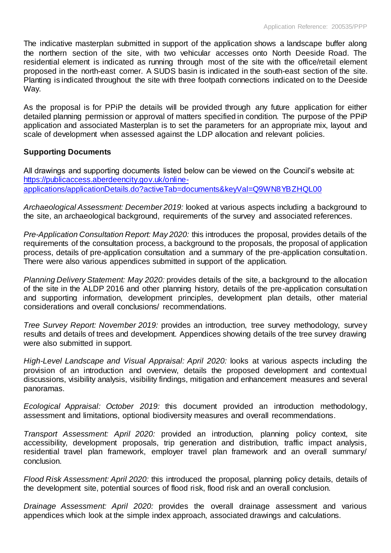The indicative masterplan submitted in support of the application shows a landscape buffer along the northern section of the site, with two vehicular accesses onto North Deeside Road. The residential element is indicated as running through most of the site with the office/retail element proposed in the north-east corner. A SUDS basin is indicated in the south-east section of the site. Planting is indicated throughout the site with three footpath connections indicated on to the Deeside Way.

As the proposal is for PPiP the details will be provided through any future application for either detailed planning permission or approval of matters specified in condition. The purpose of the PPiP application and associated Masterplan is to set the parameters for an appropriate mix, layout and scale of development when assessed against the LDP allocation and relevant policies.

# **Supporting Documents**

All drawings and supporting documents listed below can be viewed on the Council's website at: [https://publicaccess.aberdeencity.gov.uk/online](https://publicaccess.aberdeencity.gov.uk/online-applications/applicationDetails.do?activeTab=documents&keyVal=Q9WN8YBZHQL00)[applications/applicationDetails.do?activeTab=documents&keyVal=Q9WN8YBZHQL00](https://publicaccess.aberdeencity.gov.uk/online-applications/applicationDetails.do?activeTab=documents&keyVal=Q9WN8YBZHQL00)

*Archaeological Assessment: December 2019:* looked at various aspects including a background to the site, an archaeological background, requirements of the survey and associated references.

*Pre-Application Consultation Report: May 2020:* this introduces the proposal, provides details of the requirements of the consultation process, a background to the proposals, the proposal of application process, details of pre-application consultation and a summary of the pre-application consultation. There were also various appendices submitted in support of the application.

*Planning Delivery Statement: May 2020:* provides details of the site, a background to the allocation of the site in the ALDP 2016 and other planning history, details of the pre-application consultation and supporting information, development principles, development plan details, other material considerations and overall conclusions/ recommendations.

*Tree Survey Report: November 2019:* provides an introduction, tree survey methodology, survey results and details of trees and development. Appendices showing details of the tree survey drawing were also submitted in support.

*High-Level Landscape and Visual Appraisal: April 2020:* looks at various aspects including the provision of an introduction and overview, details the proposed development and contextual discussions, visibility analysis, visibility findings, mitigation and enhancement measures and several panoramas.

*Ecological Appraisal: October 2019:* this document provided an introduction methodology, assessment and limitations, optional biodiversity measures and overall recommendations.

*Transport Assessment: April 2020:* provided an introduction, planning policy context, site accessibility, development proposals, trip generation and distribution, traffic impact analysis, residential travel plan framework, employer travel plan framework and an overall summary/ conclusion.

*Flood Risk Assessment: April 2020:* this introduced the proposal, planning policy details, details of the development site, potential sources of flood risk, flood risk and an overall conclusion.

*Drainage Assessment: April 2020:* provides the overall drainage assessment and various appendices which look at the simple index approach, associated drawings and calculations.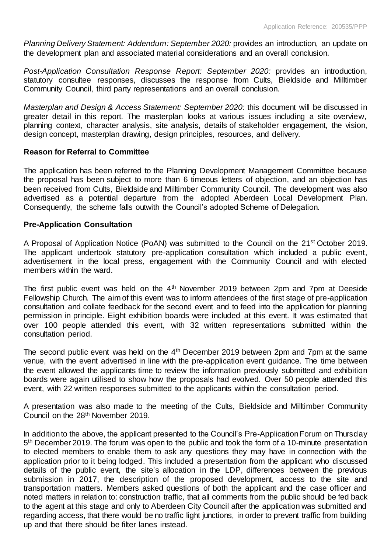*Planning Delivery Statement: Addendum: September 2020: provides an introduction, an update on* the development plan and associated material considerations and an overall conclusion.

*Post-Application Consultation Response Report: September 2020:* provides an introduction, statutory consultee responses, discusses the response from Cults, Bieldside and Milltimber Community Council, third party representations and an overall conclusion.

*Masterplan and Design & Access Statement: September 2020:* this document will be discussed in greater detail in this report. The masterplan looks at various issues including a site overview, planning context, character analysis, site analysis, details of stakeholder engagement, the vision, design concept, masterplan drawing, design principles, resources, and delivery.

# **Reason for Referral to Committee**

The application has been referred to the Planning Development Management Committee because the proposal has been subject to more than 6 timeous letters of objection, and an objection has been received from Cults, Bieldside and Milltimber Community Council. The development was also advertised as a potential departure from the adopted Aberdeen Local Development Plan. Consequently, the scheme falls outwith the Council's adopted Scheme of Delegation.

# **Pre-Application Consultation**

A Proposal of Application Notice (PoAN) was submitted to the Council on the 21st October 2019. The applicant undertook statutory pre-application consultation which included a public event, advertisement in the local press, engagement with the Community Council and with elected members within the ward.

The first public event was held on the 4<sup>th</sup> November 2019 between 2pm and 7pm at Deeside Fellowship Church. The aim of this event was to inform attendees of the first stage of pre-application consultation and collate feedback for the second event and to feed into the application for planning permission in principle. Eight exhibition boards were included at this event. It was estimated that over 100 people attended this event, with 32 written representations submitted within the consultation period.

The second public event was held on the  $4<sup>th</sup>$  December 2019 between 2pm and 7pm at the same venue, with the event advertised in line with the pre-application event guidance. The time between the event allowed the applicants time to review the information previously submitted and exhibition boards were again utilised to show how the proposals had evolved. Over 50 people attended this event, with 22 written responses submitted to the applicants within the consultation period.

A presentation was also made to the meeting of the Cults, Bieldside and Milltimber Community Council on the 28<sup>th</sup> November 2019.

In addition to the above, the applicant presented to the Council's Pre-Application Forum on Thursday 5<sup>th</sup> December 2019. The forum was open to the public and took the form of a 10-minute presentation to elected members to enable them to ask any questions they may have in connection with the application prior to it being lodged. This included a presentation from the applicant who discussed details of the public event, the site's allocation in the LDP, differences between the previous submission in 2017, the description of the proposed development, access to the site and transportation matters. Members asked questions of both the applicant and the case officer and noted matters in relation to: construction traffic, that all comments from the public should be fed back to the agent at this stage and only to Aberdeen City Council after the application was submitted and regarding access, that there would be no traffic light junctions, in order to prevent traffic from building up and that there should be filter lanes instead.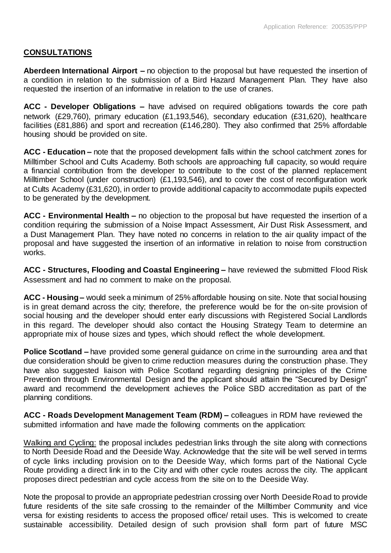# **CONSULTATIONS**

**Aberdeen International Airport –** no objection to the proposal but have requested the insertion of a condition in relation to the submission of a Bird Hazard Management Plan. They have also requested the insertion of an informative in relation to the use of cranes.

**ACC - Developer Obligations –** have advised on required obligations towards the core path network (£29,760), primary education (£1,193,546), secondary education (£31,620), healthcare facilities (£81,886) and sport and recreation (£146,280). They also confirmed that 25% affordable housing should be provided on site.

**ACC - Education –** note that the proposed development falls within the school catchment zones for Milltimber School and Cults Academy. Both schools are approaching full capacity, so would require a financial contribution from the developer to contribute to the cost of the planned replacement Milltimber School (under construction) (£1,193,546), and to cover the cost of reconfiguration work at Cults Academy (£31,620), in order to provide additional capacity to accommodate pupils expected to be generated by the development.

**ACC - Environmental Health –** no objection to the proposal but have requested the insertion of a condition requiring the submission of a Noise Impact Assessment, Air Dust Risk Assessment, and a Dust Management Plan. They have noted no concerns in relation to the air quality impact of the proposal and have suggested the insertion of an informative in relation to noise from construction works.

**ACC - Structures, Flooding and Coastal Engineering –** have reviewed the submitted Flood Risk Assessment and had no comment to make on the proposal.

**ACC - Housing –** would seek a minimum of 25% affordable housing on site. Note that social housing is in great demand across the city; therefore, the preference would be for the on-site provision of social housing and the developer should enter early discussions with Registered Social Landlords in this regard. The developer should also contact the Housing Strategy Team to determine an appropriate mix of house sizes and types, which should reflect the whole development.

**Police Scotland –** have provided some general guidance on crime in the surrounding area and that due consideration should be given to crime reduction measures during the construction phase. They have also suggested liaison with Police Scotland regarding designing principles of the Crime Prevention through Environmental Design and the applicant should attain the "Secured by Design" award and recommend the development achieves the Police SBD accreditation as part of the planning conditions.

**ACC - Roads Development Management Team (RDM) –** colleagues in RDM have reviewed the submitted information and have made the following comments on the application:

Walking and Cycling: the proposal includes pedestrian links through the site along with connections to North Deeside Road and the Deeside Way. Acknowledge that the site will be well served in terms of cycle links including provision on to the Deeside Way, which forms part of the National Cycle Route providing a direct link in to the City and with other cycle routes across the city. The applicant proposes direct pedestrian and cycle access from the site on to the Deeside Way.

Note the proposal to provide an appropriate pedestrian crossing over North Deeside Road to provide future residents of the site safe crossing to the remainder of the Milltimber Community and vice versa for existing residents to access the proposed office/ retail uses. This is welcomed to create sustainable accessibility. Detailed design of such provision shall form part of future MSC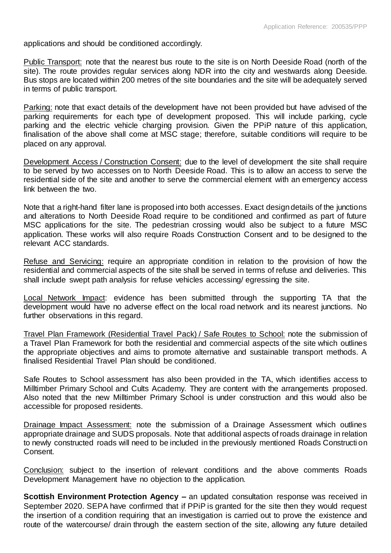applications and should be conditioned accordingly.

Public Transport: note that the nearest bus route to the site is on North Deeside Road (north of the site). The route provides regular services along NDR into the city and westwards along Deeside. Bus stops are located within 200 metres of the site boundaries and the site will be adequately served in terms of public transport.

Parking: note that exact details of the development have not been provided but have advised of the parking requirements for each type of development proposed. This will include parking, cycle parking and the electric vehicle charging provision. Given the PPiP nature of this application, finalisation of the above shall come at MSC stage; therefore, suitable conditions will require to be placed on any approval.

Development Access / Construction Consent: due to the level of development the site shall require to be served by two accesses on to North Deeside Road. This is to allow an access to serve the residential side of the site and another to serve the commercial element with an emergency access link between the two.

Note that a right-hand filter lane is proposed into both accesses. Exact design details of the junctions and alterations to North Deeside Road require to be conditioned and confirmed as part of future MSC applications for the site. The pedestrian crossing would also be subject to a future MSC application. These works will also require Roads Construction Consent and to be designed to the relevant ACC standards.

Refuse and Servicing: require an appropriate condition in relation to the provision of how the residential and commercial aspects of the site shall be served in terms of refuse and deliveries. This shall include swept path analysis for refuse vehicles accessing/ egressing the site.

Local Network Impact: evidence has been submitted through the supporting TA that the development would have no adverse effect on the local road network and its nearest junctions. No further observations in this regard.

Travel Plan Framework (Residential Travel Pack) / Safe Routes to School: note the submission of a Travel Plan Framework for both the residential and commercial aspects of the site which outlines the appropriate objectives and aims to promote alternative and sustainable transport methods. A finalised Residential Travel Plan should be conditioned.

Safe Routes to School assessment has also been provided in the TA, which identifies access to Milltimber Primary School and Cults Academy. They are content with the arrangements proposed. Also noted that the new Milltimber Primary School is under construction and this would also be accessible for proposed residents.

Drainage Impact Assessment: note the submission of a Drainage Assessment which outlines appropriate drainage and SUDS proposals. Note that additional aspects of roads drainage in relation to newly constructed roads will need to be included in the previously mentioned Roads Constructi on Consent.

Conclusion: subject to the insertion of relevant conditions and the above comments Roads Development Management have no objection to the application.

**Scottish Environment Protection Agency –** an updated consultation response was received in September 2020. SEPA have confirmed that if PPiP is granted for the site then they would request the insertion of a condition requiring that an investigation is carried out to prove the existence and route of the watercourse/ drain through the eastern section of the site, allowing any future detailed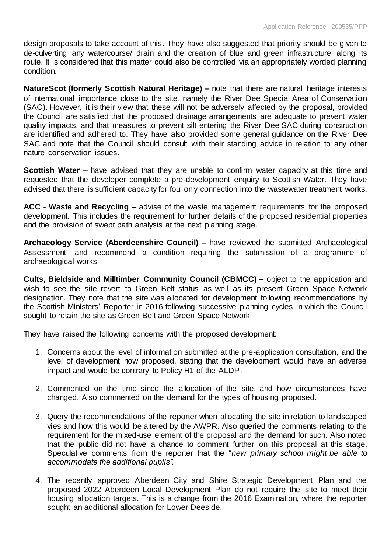design proposals to take account of this. They have also suggested that priority should be given to de-culverting any watercourse/ drain and the creation of blue and green infrastructure along its route. It is considered that this matter could also be controlled via an appropriately worded planning condition.

**NatureScot (formerly Scottish Natural Heritage) –** note that there are natural heritage interests of international importance close to the site, namely the River Dee Special Area of Conservation (SAC). However, it is their view that these will not be adversely affected by the proposal, provided the Council are satisfied that the proposed drainage arrangements are adequate to prevent water quality impacts, and that measures to prevent silt entering the River Dee SAC during construction are identified and adhered to. They have also provided some general guidance on the River Dee SAC and note that the Council should consult with their standing advice in relation to any other nature conservation issues.

**Scottish Water –** have advised that they are unable to confirm water capacity at this time and requested that the developer complete a pre-development enquiry to Scottish Water. They have advised that there is sufficient capacity for foul only connection into the wastewater treatment works.

**ACC - Waste and Recycling –** advise of the waste management requirements for the proposed development. This includes the requirement for further details of the proposed residential properties and the provision of swept path analysis at the next planning stage.

**Archaeology Service (Aberdeenshire Council) –** have reviewed the submitted Archaeological Assessment, and recommend a condition requiring the submission of a programme of archaeological works.

**Cults, Bieldside and Milltimber Community Council (CBMCC) –** object to the application and wish to see the site revert to Green Belt status as well as its present Green Space Network designation. They note that the site was allocated for development following recommendations by the Scottish Ministers' Reporter in 2016 following successive planning cycles in which the Council sought to retain the site as Green Belt and Green Space Network.

They have raised the following concerns with the proposed development:

- 1. Concerns about the level of information submitted at the pre-application consultation, and the level of development now proposed, stating that the development would have an adverse impact and would be contrary to Policy H1 of the ALDP.
- 2. Commented on the time since the allocation of the site, and how circumstances have changed. Also commented on the demand for the types of housing proposed.
- 3. Query the recommendations of the reporter when allocating the site in relation to landscaped vies and how this would be altered by the AWPR. Also queried the comments relating to the requirement for the mixed-use element of the proposal and the demand for such. Also noted that the public did not have a chance to comment further on this proposal at this stage. Speculative comments from the reporter that the "*new primary school might be able to accommodate the additional pupils".*
- 4. The recently approved Aberdeen City and Shire Strategic Development Plan and the proposed 2022 Aberdeen Local Development Plan do not require the site to meet their housing allocation targets. This is a change from the 2016 Examination, where the reporter sought an additional allocation for Lower Deeside.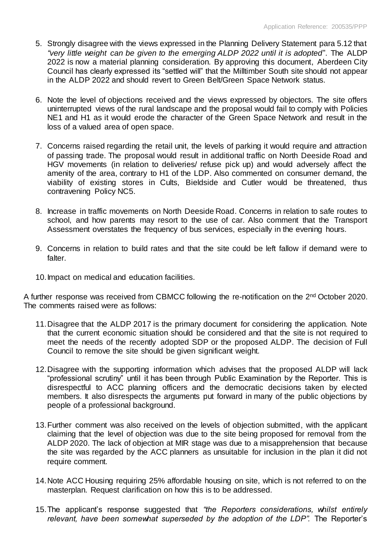- 5. Strongly disagree with the views expressed in the Planning Delivery Statement para 5.12 that *"very little weight can be given to the emerging ALDP 2022 until it is adopted*". The ALDP 2022 is now a material planning consideration. By approving this document, Aberdeen City Council has clearly expressed its "settled will" that the Milltimber South site should not appear in the ALDP 2022 and should revert to Green Belt/Green Space Network status.
- 6. Note the level of objections received and the views expressed by objectors. The site offers uninterrupted views of the rural landscape and the proposal would fail to comply with Policies NE1 and H1 as it would erode the character of the Green Space Network and result in the loss of a valued area of open space.
- 7. Concerns raised regarding the retail unit, the levels of parking it would require and attraction of passing trade. The proposal would result in additional traffic on North Deeside Road and HGV movements (in relation to deliveries/ refuse pick up) and would adversely affect the amenity of the area, contrary to H1 of the LDP. Also commented on consumer demand, the viability of existing stores in Cults, Bieldside and Cutler would be threatened, thus contravening Policy NC5.
- 8. Increase in traffic movements on North Deeside Road. Concerns in relation to safe routes to school, and how parents may resort to the use of car. Also comment that the Transport Assessment overstates the frequency of bus services, especially in the evening hours.
- 9. Concerns in relation to build rates and that the site could be left fallow if demand were to falter.
- 10.Impact on medical and education facilities.

A further response was received from CBMCC following the re-notification on the 2<sup>nd</sup> October 2020. The comments raised were as follows:

- 11.Disagree that the ALDP 2017 is the primary document for considering the application. Note that the current economic situation should be considered and that the site is not required to meet the needs of the recently adopted SDP or the proposed ALDP. The decision of Full Council to remove the site should be given significant weight.
- 12.Disagree with the supporting information which advises that the proposed ALDP will lack "professional scrutiny" until it has been through Public Examination by the Reporter. This is disrespectful to ACC planning officers and the democratic decisions taken by elected members. It also disrespects the arguments put forward in many of the public objections by people of a professional background.
- 13.Further comment was also received on the levels of objection submitted, with the applicant claiming that the level of objection was due to the site being proposed for removal from the ALDP 2020. The lack of objection at MIR stage was due to a misapprehension that because the site was regarded by the ACC planners as unsuitable for inclusion in the plan it did not require comment.
- 14.Note ACC Housing requiring 25% affordable housing on site, which is not referred to on the masterplan. Request clarification on how this is to be addressed.
- 15.The applicant's response suggested that *"the Reporters considerations, whilst entirely relevant, have been somewhat superseded by the adoption of the LDP".* The Reporter's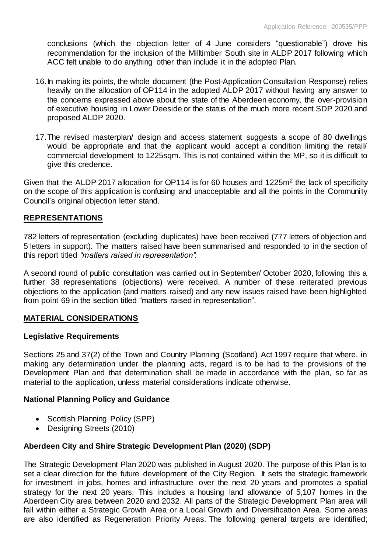conclusions (which the objection letter of 4 June considers "questionable") drove his recommendation for the inclusion of the Milltimber South site in ALDP 2017 following which ACC felt unable to do anything other than include it in the adopted Plan.

- 16.In making its points, the whole document (the Post-Application Consultation Response) relies heavily on the allocation of OP114 in the adopted ALDP 2017 without having any answer to the concerns expressed above about the state of the Aberdeen economy, the over-provision of executive housing in Lower Deeside or the status of the much more recent SDP 2020 and proposed ALDP 2020.
- 17.The revised masterplan/ design and access statement suggests a scope of 80 dwellings would be appropriate and that the applicant would accept a condition limiting the retail/ commercial development to 1225sqm. This is not contained within the MP, so it is difficult to give this credence.

Given that the ALDP 2017 allocation for OP114 is for 60 houses and 1225 $m<sup>2</sup>$  the lack of specificity on the scope of this application is confusing and unacceptable and all the points in the Community Council's original objection letter stand.

# **REPRESENTATIONS**

782 letters of representation (excluding duplicates) have been received (777 letters of objection and 5 letters in support). The matters raised have been summarised and responded to in the section of this report titled *"matters raised in representation".* 

A second round of public consultation was carried out in September/ October 2020, following this a further 38 representations (objections) were received. A number of these reiterated previous objections to the application (and matters raised) and any new issues raised have been highlighted from point 69 in the section titled "matters raised in representation".

# **MATERIAL CONSIDERATIONS**

# **Legislative Requirements**

Sections 25 and 37(2) of the Town and Country Planning (Scotland) Act 1997 require that where, in making any determination under the planning acts, regard is to be had to the provisions of the Development Plan and that determination shall be made in accordance with the plan, so far as material to the application, unless material considerations indicate otherwise.

# **National Planning Policy and Guidance**

- Scottish Planning Policy (SPP)
- Designing Streets (2010)

# **Aberdeen City and Shire Strategic Development Plan (2020) (SDP)**

The Strategic Development Plan 2020 was published in August 2020. The purpose of this Plan is to set a clear direction for the future development of the City Region. It sets the strategic framework for investment in jobs, homes and infrastructure over the next 20 years and promotes a spatial strategy for the next 20 years. This includes a housing land allowance of 5,107 homes in the Aberdeen City area between 2020 and 2032. All parts of the Strategic Development Plan area will fall within either a Strategic Growth Area or a Local Growth and Diversification Area. Some areas are also identified as Regeneration Priority Areas. The following general targets are identified;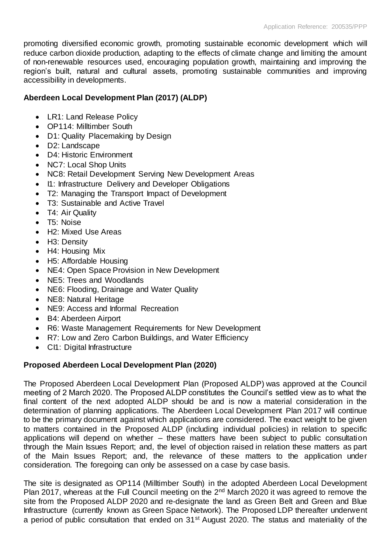promoting diversified economic growth, promoting sustainable economic development which will reduce carbon dioxide production, adapting to the effects of climate change and limiting the amount of non-renewable resources used, encouraging population growth, maintaining and improving the region's built, natural and cultural assets, promoting sustainable communities and improving accessibility in developments.

# **Aberdeen Local Development Plan (2017) (ALDP)**

- LR1: Land Release Policy
- OP114: Milltimber South
- D1: Quality Placemaking by Design
- D2: Landscape
- D4: Historic Environment
- NC7: Local Shop Units
- NC8: Retail Development Serving New Development Areas
- I1: Infrastructure Delivery and Developer Obligations
- T2: Managing the Transport Impact of Development
- T3: Sustainable and Active Travel
- T4: Air Quality
- T<sub>5</sub>: Noise
- H2: Mixed Use Areas
- H<sub>3</sub>: Density
- H4: Housing Mix
- H5: Affordable Housing
- NE4: Open Space Provision in New Development
- NE5: Trees and Woodlands
- NE6: Flooding, Drainage and Water Quality
- NE8: Natural Heritage
- NE9: Access and Informal Recreation
- B4: Aberdeen Airport
- R6: Waste Management Requirements for New Development
- R7: Low and Zero Carbon Buildings, and Water Efficiency
- CI1: Digital Infrastructure

# **Proposed Aberdeen Local Development Plan (2020)**

The Proposed Aberdeen Local Development Plan (Proposed ALDP) was approved at the Council meeting of 2 March 2020. The Proposed ALDP constitutes the Council's settled view as to what the final content of the next adopted ALDP should be and is now a material consideration in the determination of planning applications. The Aberdeen Local Development Plan 2017 will continue to be the primary document against which applications are considered. The exact weight to be given to matters contained in the Proposed ALDP (including individual policies) in relation to specific applications will depend on whether – these matters have been subject to public consultation through the Main Issues Report; and, the level of objection raised in relation these matters as part of the Main Issues Report; and, the relevance of these matters to the application under consideration. The foregoing can only be assessed on a case by case basis.

The site is designated as OP114 (Milltimber South) in the adopted Aberdeen Local Development Plan 2017, whereas at the Full Council meeting on the 2<sup>nd</sup> March 2020 it was agreed to remove the site from the Proposed ALDP 2020 and re-designate the land as Green Belt and Green and Blue Infrastructure (currently known as Green Space Network). The Proposed LDP thereafter underwent a period of public consultation that ended on 31st August 2020. The status and materiality of the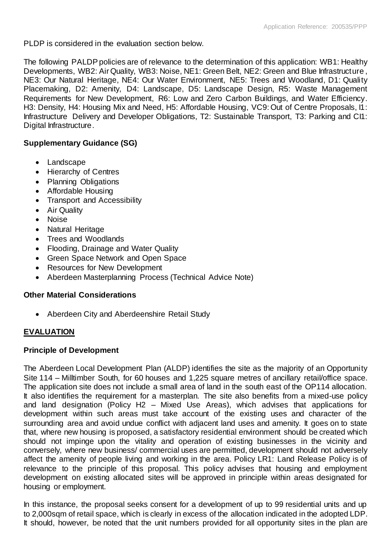PLDP is considered in the evaluation section below.

The following PALDP policies are of relevance to the determination of this application: WB1: Healthy Developments, WB2: Air Quality, WB3: Noise, NE1: Green Belt, NE2: Green and Blue Infrastructure , NE3: Our Natural Heritage, NE4: Our Water Environment, NE5: Trees and Woodland, D1: Quality Placemaking, D2: Amenity, D4: Landscape, D5: Landscape Design, R5: Waste Management Requirements for New Development, R6: Low and Zero Carbon Buildings, and Water Efficiency. H3: Density, H4: Housing Mix and Need, H5: Affordable Housing, VC9: Out of Centre Proposals, I1: Infrastructure Delivery and Developer Obligations, T2: Sustainable Transport, T3: Parking and CI1: Digital Infrastructure.

# **Supplementary Guidance (SG)**

- Landscape
- Hierarchy of Centres
- Planning Obligations
- Affordable Housing
- Transport and Accessibility
- Air Quality
- Noise
- Natural Heritage
- Trees and Woodlands
- Flooding, Drainage and Water Quality
- Green Space Network and Open Space
- Resources for New Development
- Aberdeen Masterplanning Process (Technical Advice Note)

# **Other Material Considerations**

• Aberdeen City and Aberdeenshire Retail Study

# **EVALUATION**

# **Principle of Development**

The Aberdeen Local Development Plan (ALDP) identifies the site as the majority of an Opportunity Site 114 – Milltimber South, for 60 houses and 1,225 square metres of ancillary retail/office space. The application site does not include a small area of land in the south east of the OP114 allocation. It also identifies the requirement for a masterplan. The site also benefits from a mixed-use policy and land designation (Policy H2 – Mixed Use Areas), which advises that applications for development within such areas must take account of the existing uses and character of the surrounding area and avoid undue conflict with adjacent land uses and amenity. It goes on to state that, where new housing is proposed, a satisfactory residential environment should be created which should not impinge upon the vitality and operation of existing businesses in the vicinity and conversely, where new business/ commercial uses are permitted, development should not adversely affect the amenity of people living and working in the area. Policy LR1: Land Release Policy is of relevance to the principle of this proposal. This policy advises that housing and employment development on existing allocated sites will be approved in principle within areas designated for housing or employment.

In this instance, the proposal seeks consent for a development of up to 99 residential units and up to 2,000sqm of retail space, which is clearly in excess of the allocation indicated in the adopted LDP. It should, however, be noted that the unit numbers provided for all opportunity sites in the plan are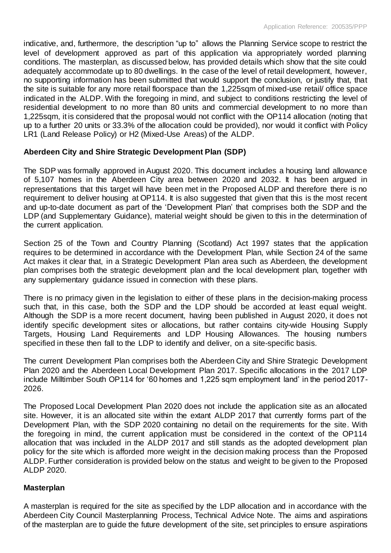indicative, and, furthermore, the description "up to" allows the Planning Service scope to restrict the level of development approved as part of this application via appropriately worded planning conditions. The masterplan, as discussed below, has provided details which show that the site could adequately accommodate up to 80 dwellings. In the case of the level of retail development, however, no supporting information has been submitted that would support the conclusion, or justify that, that the site is suitable for any more retail floorspace than the 1,225sqm of mixed-use retail/ office space indicated in the ALDP. With the foregoing in mind, and subject to conditions restricting the level of residential development to no more than 80 units and commercial development to no more than 1,225sqm, it is considered that the proposal would not conflict with the OP114 allocation (noting that up to a further 20 units or 33.3% of the allocation could be provided), nor would it conflict with Policy LR1 (Land Release Policy) or H2 (Mixed-Use Areas) of the ALDP.

# **Aberdeen City and Shire Strategic Development Plan (SDP)**

The SDP was formally approved in August 2020. This document includes a housing land allowance of 5,107 homes in the Aberdeen City area between 2020 and 2032. It has been argued in representations that this target will have been met in the Proposed ALDP and therefore there is no requirement to deliver housing at OP114. It is also suggested that given that this is the most recent and up-to-date document as part of the 'Development Plan' that comprises both the SDP and the LDP (and Supplementary Guidance), material weight should be given to this in the determination of the current application.

Section 25 of the Town and Country Planning (Scotland) Act 1997 states that the application requires to be determined in accordance with the Development Plan, while Section 24 of the same Act makes it clear that, in a Strategic Development Plan area such as Aberdeen, the development plan comprises both the strategic development plan and the local development plan, together with any supplementary guidance issued in connection with these plans.

There is no primacy given in the legislation to either of these plans in the decision-making process such that, in this case, both the SDP and the LDP should be accorded at least equal weight. Although the SDP is a more recent document, having been published in August 2020, it does not identify specific development sites or allocations, but rather contains city-wide Housing Supply Targets, Housing Land Requirements and LDP Housing Allowances. The housing numbers specified in these then fall to the LDP to identify and deliver, on a site-specific basis.

The current Development Plan comprises both the Aberdeen City and Shire Strategic Development Plan 2020 and the Aberdeen Local Development Plan 2017. Specific allocations in the 2017 LDP include Milltimber South OP114 for '60 homes and 1,225 sqm employment land' in the period 2017- 2026.

The Proposed Local Development Plan 2020 does not include the application site as an allocated site. However, it is an allocated site within the extant ALDP 2017 that currently forms part of the Development Plan, with the SDP 2020 containing no detail on the requirements for the site. With the foregoing in mind, the current application must be considered in the context of the OP114 allocation that was included in the ALDP 2017 and still stands as the adopted development plan policy for the site which is afforded more weight in the decision making process than the Proposed ALDP. Further consideration is provided below on the status and weight to be given to the Proposed ALDP 2020.

# **Masterplan**

A masterplan is required for the site as specified by the LDP allocation and in accordance with the Aberdeen City Council Masterplanning Process, Technical Advice Note. The aims and aspirations of the masterplan are to guide the future development of the site, set principles to ensure aspirations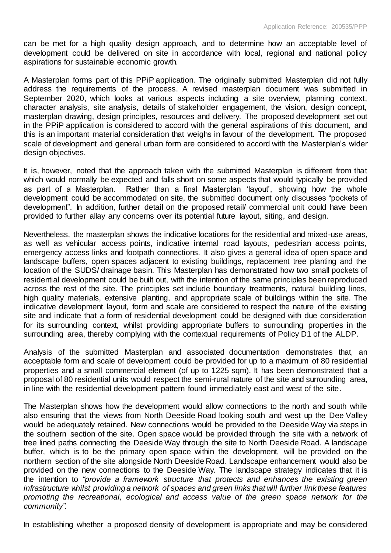can be met for a high quality design approach, and to determine how an acceptable level of development could be delivered on site in accordance with local, regional and national policy aspirations for sustainable economic growth.

A Masterplan forms part of this PPiP application. The originally submitted Masterplan did not fully address the requirements of the process. A revised masterplan document was submitted in September 2020, which looks at various aspects including a site overview, planning context, character analysis, site analysis, details of stakeholder engagement, the vision, design concept, masterplan drawing, design principles, resources and delivery. The proposed development set out in the PPiP application is considered to accord with the general aspirations of this document, and this is an important material consideration that weighs in favour of the development. The proposed scale of development and general urban form are considered to accord with the Masterplan's wider design objectives.

It is, however, noted that the approach taken with the submitted Masterplan is different from that which would normally be expected and falls short on some aspects that would typically be provided as part of a Masterplan. Rather than a final Masterplan 'layout', showing how the whole development could be accommodated on site, the submitted document only discusses "pockets of development". In addition, further detail on the proposed retail/ commercial unit could have been provided to further allay any concerns over its potential future layout, siting, and design.

Nevertheless, the masterplan shows the indicative locations for the residential and mixed-use areas, as well as vehicular access points, indicative internal road layouts, pedestrian access points, emergency access links and footpath connections. It also gives a general idea of open space and landscape buffers, open spaces adjacent to existing buildings, replacement tree planting and the location of the SUDS/ drainage basin. This Masterplan has demonstrated how two small pockets of residential development could be built out, with the intention of the same principles been reproduced across the rest of the site. The principles set include boundary treatments, natural building lines, high quality materials, extensive planting, and appropriate scale of buildings within the site. The indicative development layout, form and scale are considered to respect the nature of the existing site and indicate that a form of residential development could be designed with due consideration for its surrounding context, whilst providing appropriate buffers to surrounding properties in the surrounding area, thereby complying with the contextual requirements of Policy D1 of the ALDP.

Analysis of the submitted Masterplan and associated documentation demonstrates that, an acceptable form and scale of development could be provided for up to a maximum of 80 residential properties and a small commercial element (of up to 1225 sqm). It has been demonstrated that a proposal of 80 residential units would respect the semi-rural nature of the site and surrounding area, in line with the residential development pattern found immediately east and west of the site.

The Masterplan shows how the development would allow connections to the north and south while also ensuring that the views from North Deeside Road looking south and west up the Dee Valley would be adequately retained. New connections would be provided to the Deeside Way via steps in the southern section of the site. Open space would be provided through the site with a network of tree lined paths connecting the Deeside Way through the site to North Deeside Road. A landscape buffer, which is to be the primary open space within the development, will be provided on the northern section of the site alongside North Deeside Road. Landscape enhancement would also be provided on the new connections to the Deeside Way. The landscape strategy indicates that it is the intention to *"provide a framework structure that protects and enhances the existing green infrastructure whilst providing a network of spaces and green links that will further link these features promoting the recreational, ecological and access value of the green space network for the community".*

In establishing whether a proposed density of development is appropriate and may be considered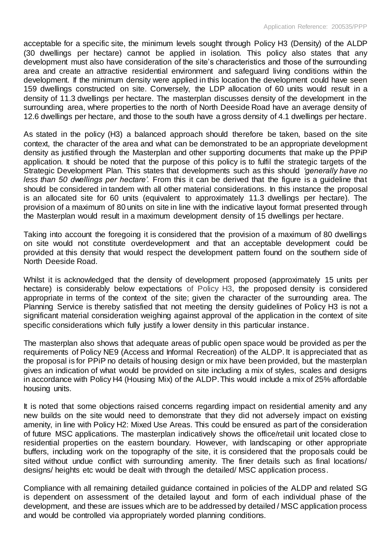acceptable for a specific site, the minimum levels sought through Policy H3 (Density) of the ALDP (30 dwellings per hectare) cannot be applied in isolation. This policy also states that any development must also have consideration of the site's characteristics and those of the surrounding area and create an attractive residential environment and safeguard living conditions within the development. If the minimum density were applied in this location the development could have seen 159 dwellings constructed on site. Conversely, the LDP allocation of 60 units would result in a density of 11.3 dwellings per hectare. The masterplan discusses density of the development in the surrounding area, where properties to the north of North Deeside Road have an average density of 12.6 dwellings per hectare, and those to the south have a gross density of 4.1 dwellings per hectare.

As stated in the policy (H3) a balanced approach should therefore be taken, based on the site context, the character of the area and what can be demonstrated to be an appropriate development density as justified through the Masterplan and other supporting documents that make up the PPiP application. It should be noted that the purpose of this policy is to fulfil the strategic targets of the Strategic Development Plan. This states that developments such as this should *'generally have no less than 50 dwellings per hectare'*. From this it can be derived that the figure is a guideline that should be considered in tandem with all other material considerations. In this instance the proposal is an allocated site for 60 units (equivalent to approximately 11.3 dwellings per hectare). The provision of a maximum of 80 units on site in line with the indicative layout format presented through the Masterplan would result in a maximum development density of 15 dwellings per hectare.

Taking into account the foregoing it is considered that the provision of a maximum of 80 dwellings on site would not constitute overdevelopment and that an acceptable development could be provided at this density that would respect the development pattern found on the southern side of North Deeside Road.

Whilst it is acknowledged that the density of development proposed (approximately 15 units per hectare) is considerably below expectations of Policy H3, the proposed density is considered appropriate in terms of the context of the site; given the character of the surrounding area. The Planning Service is thereby satisfied that not meeting the density guidelines of Policy H3 is not a significant material consideration weighing against approval of the application in the context of site specific considerations which fully justify a lower density in this particular instance.

The masterplan also shows that adequate areas of public open space would be provided as per the requirements of Policy NE9 (Access and Informal Recreation) of the ALDP. It is appreciated that as the proposal is for PPiP no details of housing design or mix have been provided, but the masterplan gives an indication of what would be provided on site including a mix of styles, scales and designs in accordance with Policy H4 (Housing Mix) of the ALDP. This would include a mix of 25% affordable housing units.

It is noted that some objections raised concerns regarding impact on residential amenity and any new builds on the site would need to demonstrate that they did not adversely impact on existing amenity, in line with Policy H2: Mixed Use Areas. This could be ensured as part of the consideration of future MSC applications. The masterplan indicatively shows the office/retail unit located close to residential properties on the eastern boundary. However, with landscaping or other appropriate buffers, including work on the topography of the site, it is considered that the proposals could be sited without undue conflict with surrounding amenity. The finer details such as final locations/ designs/ heights etc would be dealt with through the detailed/ MSC application process.

Compliance with all remaining detailed guidance contained in policies of the ALDP and related SG is dependent on assessment of the detailed layout and form of each individual phase of the development, and these are issues which are to be addressed by detailed / MSC application process and would be controlled via appropriately worded planning conditions.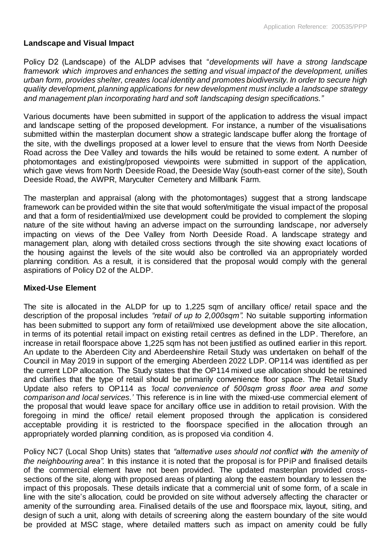# **Landscape and Visual Impact**

Policy D2 (Landscape) of the ALDP advises that "*developments will have a strong landscape framework which improves and enhances the setting and visual impact of the development, unifies urban form, provides shelter, creates local identity and promotes biodiversity. In order to secure high quality development, planning applications for new development must include a landscape strategy and management plan incorporating hard and soft landscaping design specifications."*

Various documents have been submitted in support of the application to address the visual impact and landscape setting of the proposed development. For instance, a number of the visualisations submitted within the masterplan document show a strategic landscape buffer along the frontage of the site, with the dwellings proposed at a lower level to ensure that the views from North Deeside Road across the Dee Valley and towards the hills would be retained to some extent. A number of photomontages and existing/proposed viewpoints were submitted in support of the application, which gave views from North Deeside Road, the Deeside Way (south-east corner of the site), South Deeside Road, the AWPR, Maryculter Cemetery and Millbank Farm.

The masterplan and appraisal (along with the photomontages) suggest that a strong landscape framework can be provided within the site that would soften/mitigate the visual impact of the proposal and that a form of residential/mixed use development could be provided to complement the sloping nature of the site without having an adverse impact on the surrounding landscape, nor adversely impacting on views of the Dee Valley from North Deeside Road. A landscape strategy and management plan, along with detailed cross sections through the site showing exact locations of the housing against the levels of the site would also be controlled via an appropriately worded planning condition. As a result, it is considered that the proposal would comply with the general aspirations of Policy D2 of the ALDP.

# **Mixed-Use Element**

The site is allocated in the ALDP for up to 1,225 sqm of ancillary office/ retail space and the description of the proposal includes *"retail of up to 2,000sqm".* No suitable supporting information has been submitted to support any form of retail/mixed use development above the site allocation, in terms of its potential retail impact on existing retail centres as defined in the LDP. Therefore, an increase in retail floorspace above 1,225 sqm has not been justified as outlined earlier in this report. An update to the Aberdeen City and Aberdeenshire Retail Study was undertaken on behalf of the Council in May 2019 in support of the emerging Aberdeen 2022 LDP. OP114 was identified as per the current LDP allocation. The Study states that the OP114 mixed use allocation should be retained and clarifies that the type of retail should be primarily convenience floor space. The Retail Study Update also refers to OP114 as *'local convenience of 500sqm gross floor area and some comparison and local services.'* This reference is in line with the mixed-use commercial element of the proposal that would leave space for ancillary office use in addition to retail provision. With the foregoing in mind the office/ retail element proposed through the application is considered acceptable providing it is restricted to the floorspace specified in the allocation through an appropriately worded planning condition, as is proposed via condition 4.

Policy NC7 (Local Shop Units) states that *"alternative uses should not conflict with the amenity of the neighbouring area".* In this instance it is noted that the proposal is for PPiP and finalised details of the commercial element have not been provided. The updated masterplan provided crosssections of the site, along with proposed areas of planting along the eastern boundary to lessen the impact of this proposals. These details indicate that a commercial unit of some form, of a scale in line with the site's allocation, could be provided on site without adversely affecting the character or amenity of the surrounding area. Finalised details of the use and floorspace mix, layout, siting, and design of such a unit, along with details of screening along the eastern boundary of the site would be provided at MSC stage, where detailed matters such as impact on amenity could be fully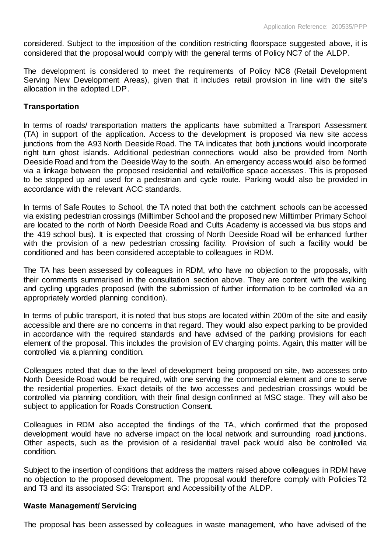considered. Subject to the imposition of the condition restricting floorspace suggested above, it is considered that the proposal would comply with the general terms of Policy NC7 of the ALDP.

The development is considered to meet the requirements of Policy NC8 (Retail Development Serving New Development Areas), given that it includes retail provision in line with the site's allocation in the adopted LDP.

# **Transportation**

In terms of roads/ transportation matters the applicants have submitted a Transport Assessment (TA) in support of the application. Access to the development is proposed via new site access junctions from the A93 North Deeside Road. The TA indicates that both junctions would incorporate right turn ghost islands. Additional pedestrian connections would also be provided from North Deeside Road and from the Deeside Way to the south. An emergency access would also be formed via a linkage between the proposed residential and retail/office space accesses. This is proposed to be stopped up and used for a pedestrian and cycle route. Parking would also be provided in accordance with the relevant ACC standards.

In terms of Safe Routes to School, the TA noted that both the catchment schools can be accessed via existing pedestrian crossings (Milltimber School and the proposed new Milltimber Primary School are located to the north of North Deeside Road and Cults Academy is accessed via bus stops and the 419 school bus). It is expected that crossing of North Deeside Road will be enhanced further with the provision of a new pedestrian crossing facility. Provision of such a facility would be conditioned and has been considered acceptable to colleagues in RDM.

The TA has been assessed by colleagues in RDM, who have no objection to the proposals, with their comments summarised in the consultation section above. They are content with the walking and cycling upgrades proposed (with the submission of further information to be controlled via an appropriately worded planning condition).

In terms of public transport, it is noted that bus stops are located within 200m of the site and easily accessible and there are no concerns in that regard. They would also expect parking to be provided in accordance with the required standards and have advised of the parking provisions for each element of the proposal. This includes the provision of EV charging points. Again, this matter will be controlled via a planning condition.

Colleagues noted that due to the level of development being proposed on site, two accesses onto North Deeside Road would be required, with one serving the commercial element and one to serve the residential properties. Exact details of the two accesses and pedestrian crossings would be controlled via planning condition, with their final design confirmed at MSC stage. They will also be subject to application for Roads Construction Consent.

Colleagues in RDM also accepted the findings of the TA, which confirmed that the proposed development would have no adverse impact on the local network and surrounding road junctions. Other aspects, such as the provision of a residential travel pack would also be controlled via condition.

Subject to the insertion of conditions that address the matters raised above colleagues in RDM have no objection to the proposed development. The proposal would therefore comply with Policies T2 and T3 and its associated SG: Transport and Accessibility of the ALDP.

#### **Waste Management/ Servicing**

The proposal has been assessed by colleagues in waste management, who have advised of the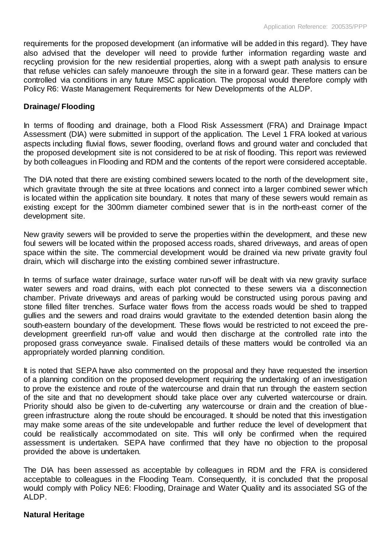requirements for the proposed development (an informative will be added in this regard). They have also advised that the developer will need to provide further information regarding waste and recycling provision for the new residential properties, along with a swept path analysis to ensure that refuse vehicles can safely manoeuvre through the site in a forward gear. These matters can be controlled via conditions in any future MSC application. The proposal would therefore comply with Policy R6: Waste Management Requirements for New Developments of the ALDP.

# **Drainage/ Flooding**

In terms of flooding and drainage, both a Flood Risk Assessment (FRA) and Drainage Impact Assessment (DIA) were submitted in support of the application. The Level 1 FRA looked at various aspects including fluvial flows, sewer flooding, overland flows and ground water and concluded that the proposed development site is not considered to be at risk of flooding. This report was reviewed by both colleagues in Flooding and RDM and the contents of the report were considered acceptable.

The DIA noted that there are existing combined sewers located to the north of the development site, which gravitate through the site at three locations and connect into a larger combined sewer which is located within the application site boundary. It notes that many of these sewers would remain as existing except for the 300mm diameter combined sewer that is in the north-east corner of the development site.

New gravity sewers will be provided to serve the properties within the development, and these new foul sewers will be located within the proposed access roads, shared driveways, and areas of open space within the site. The commercial development would be drained via new private gravity foul drain, which will discharge into the existing combined sewer infrastructure.

In terms of surface water drainage, surface water run-off will be dealt with via new gravity surface water sewers and road drains, with each plot connected to these sewers via a disconnection chamber. Private driveways and areas of parking would be constructed using porous paving and stone filled filter trenches. Surface water flows from the access roads would be shed to trapped gullies and the sewers and road drains would gravitate to the extended detention basin along the south-eastern boundary of the development. These flows would be restricted to not exceed the predevelopment greenfield run-off value and would then discharge at the controlled rate into the proposed grass conveyance swale. Finalised details of these matters would be controlled via an appropriately worded planning condition.

It is noted that SEPA have also commented on the proposal and they have requested the insertion of a planning condition on the proposed development requiring the undertaking of an investigation to prove the existence and route of the watercourse and drain that run through the eastern section of the site and that no development should take place over any culverted watercourse or drain. Priority should also be given to de-culverting any watercourse or drain and the creation of bluegreen infrastructure along the route should be encouraged. It should be noted that this investigation may make some areas of the site undevelopable and further reduce the level of development that could be realistically accommodated on site. This will only be confirmed when the required assessment is undertaken. SEPA have confirmed that they have no objection to the proposal provided the above is undertaken.

The DIA has been assessed as acceptable by colleagues in RDM and the FRA is considered acceptable to colleagues in the Flooding Team. Consequently, it is concluded that the proposal would comply with Policy NE6: Flooding, Drainage and Water Quality and its associated SG of the ALDP.

# **Natural Heritage**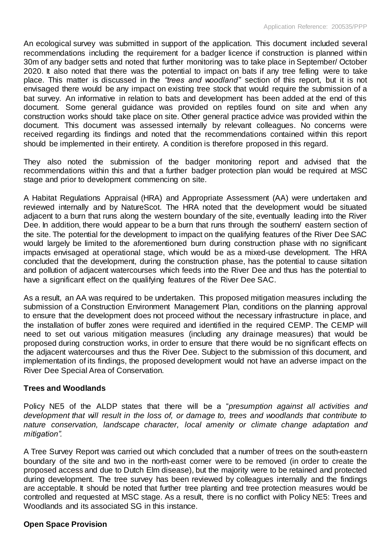An ecological survey was submitted in support of the application. This document included several recommendations including the requirement for a badger licence if construction is planned within 30m of any badger setts and noted that further monitoring was to take place in September/ October 2020. It also noted that there was the potential to impact on bats if any tree felling were to take place. This matter is discussed in the *"trees and woodland"* section of this report, but it is not envisaged there would be any impact on existing tree stock that would require the submission of a bat survey. An informative in relation to bats and development has been added at the end of this document. Some general guidance was provided on reptiles found on site and when any construction works should take place on site. Other general practice advice was provided within the document. This document was assessed internally by relevant colleagues. No concerns were received regarding its findings and noted that the recommendations contained within this report should be implemented in their entirety. A condition is therefore proposed in this regard.

They also noted the submission of the badger monitoring report and advised that the recommendations within this and that a further badger protection plan would be required at MSC stage and prior to development commencing on site.

A Habitat Regulations Appraisal (HRA) and Appropriate Assessment (AA) were undertaken and reviewed internally and by NatureScot. The HRA noted that the development would be situated adjacent to a burn that runs along the western boundary of the site, eventually leading into the River Dee. In addition, there would appear to be a burn that runs through the southern/ eastern section of the site. The potential for the development to impact on the qualifying features of the River Dee SAC would largely be limited to the aforementioned burn during construction phase with no significant impacts envisaged at operational stage, which would be as a mixed-use development. The HRA concluded that the development, during the construction phase, has the potential to cause siltation and pollution of adjacent watercourses which feeds into the River Dee and thus has the potential to have a significant effect on the qualifying features of the River Dee SAC.

As a result, an AA was required to be undertaken. This proposed mitigation measures including the submission of a Construction Environment Management Plan, conditions on the planning approval to ensure that the development does not proceed without the necessary infrastructure in place, and the installation of buffer zones were required and identified in the required CEMP. The CEMP will need to set out various mitigation measures (including any drainage measures) that would be proposed during construction works, in order to ensure that there would be no significant effects on the adjacent watercourses and thus the River Dee. Subject to the submission of this document, and implementation of its findings, the proposed development would not have an adverse impact on the River Dee Special Area of Conservation.

# **Trees and Woodlands**

Policy NE5 of the ALDP states that there will be a "*presumption against all activities and development that will result in the loss of, or damage to, trees and woodlands that contribute to nature conservation, landscape character, local amenity or climate change adaptation and mitigation".*

A Tree Survey Report was carried out which concluded that a number of trees on the south-eastern boundary of the site and two in the north-east corner were to be removed (in order to create the proposed access and due to Dutch Elm disease), but the majority were to be retained and protected during development. The tree survey has been reviewed by colleagues internally and the findings are acceptable. It should be noted that further tree planting and tree protection measures would be controlled and requested at MSC stage. As a result, there is no conflict with Policy NE5: Trees and Woodlands and its associated SG in this instance.

# **Open Space Provision**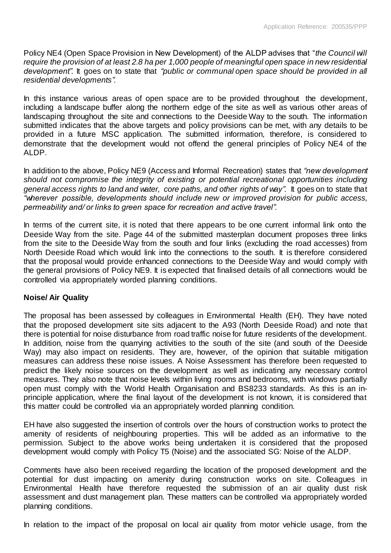Policy NE4 (Open Space Provision in New Development) of the ALDP advises that "*the Council will require the provision of at least 2.8 ha per 1,000 people of meaningful open space in new residential development".* It goes on to state that *"public or communal open space should be provided in all residential developments".*

In this instance various areas of open space are to be provided throughout the development, including a landscape buffer along the northern edge of the site as well as various other areas of landscaping throughout the site and connections to the Deeside Way to the south. The information submitted indicates that the above targets and policy provisions can be met, with any details to be provided in a future MSC application. The submitted information, therefore, is considered to demonstrate that the development would not offend the general principles of Policy NE4 of the ALDP.

In addition to the above, Policy NE9 (Access and Informal Recreation) states that *"new development should not compromise the integrity of existing or potential recreational opportunities including general access rights to land and water, core paths, and other rights of way".* It goes on to state that *"wherever possible, developments should include new or improved provision for public access, permeability and/ or links to green space for recreation and active travel".*

In terms of the current site, it is noted that there appears to be one current informal link onto the Deeside Way from the site. Page 44 of the submitted masterplan document proposes three links from the site to the Deeside Way from the south and four links (excluding the road accesses) from North Deeside Road which would link into the connections to the south. It is therefore considered that the proposal would provide enhanced connections to the Deeside Way and would comply with the general provisions of Policy NE9. It is expected that finalised details of all connections would be controlled via appropriately worded planning conditions.

# **Noise/ Air Quality**

The proposal has been assessed by colleagues in Environmental Health (EH). They have noted that the proposed development site sits adjacent to the A93 (North Deeside Road) and note that there is potential for noise disturbance from road traffic noise for future residents of the development. In addition, noise from the quarrying activities to the south of the site (and south of the Deeside Way) may also impact on residents. They are, however, of the opinion that suitable mitigation measures can address these noise issues. A Noise Assessment has therefore been requested to predict the likely noise sources on the development as well as indicating any necessary control measures. They also note that noise levels within living rooms and bedrooms, with windows partially open must comply with the World Health Organisation and BS8233 standards. As this is an inprinciple application, where the final layout of the development is not known, it is considered that this matter could be controlled via an appropriately worded planning condition.

EH have also suggested the insertion of controls over the hours of construction works to protect the amenity of residents of neighbouring properties. This will be added as an informative to the permission. Subject to the above works being undertaken it is considered that the proposed development would comply with Policy T5 (Noise) and the associated SG: Noise of the ALDP.

Comments have also been received regarding the location of the proposed development and the potential for dust impacting on amenity during construction works on site. Colleagues in Environmental Health have therefore requested the submission of an air quality dust risk assessment and dust management plan. These matters can be controlled via appropriately worded planning conditions.

In relation to the impact of the proposal on local air quality from motor vehicle usage, from the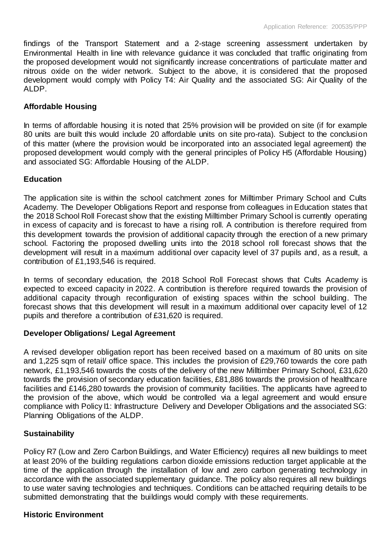findings of the Transport Statement and a 2-stage screening assessment undertaken by Environmental Health in line with relevance guidance it was concluded that traffic originating from the proposed development would not significantly increase concentrations of particulate matter and nitrous oxide on the wider network. Subject to the above, it is considered that the proposed development would comply with Policy T4: Air Quality and the associated SG: Air Quality of the ALDP.

# **Affordable Housing**

In terms of affordable housing it is noted that 25% provision will be provided on site (if for example 80 units are built this would include 20 affordable units on site pro-rata). Subject to the conclusion of this matter (where the provision would be incorporated into an associated legal agreement) the proposed development would comply with the general principles of Policy H5 (Affordable Housing) and associated SG: Affordable Housing of the ALDP.

# **Education**

The application site is within the school catchment zones for Milltimber Primary School and Cults Academy. The Developer Obligations Report and response from colleagues in Education states that the 2018 School Roll Forecast show that the existing Milltimber Primary School is currently operating in excess of capacity and is forecast to have a rising roll. A contribution is therefore required from this development towards the provision of additional capacity through the erection of a new primary school. Factoring the proposed dwelling units into the 2018 school roll forecast shows that the development will result in a maximum additional over capacity level of 37 pupils and, as a result, a contribution of £1,193,546 is required.

In terms of secondary education, the 2018 School Roll Forecast shows that Cults Academy is expected to exceed capacity in 2022. A contribution is therefore required towards the provision of additional capacity through reconfiguration of existing spaces within the school building. The forecast shows that this development will result in a maximum additional over capacity level of 12 pupils and therefore a contribution of £31,620 is required.

# **Developer Obligations/ Legal Agreement**

A revised developer obligation report has been received based on a maximum of 80 units on site and 1,225 sqm of retail/ office space. This includes the provision of £29,760 towards the core path network, £1,193,546 towards the costs of the delivery of the new Milltimber Primary School, £31,620 towards the provision of secondary education facilities, £81,886 towards the provision of healthcare facilities and £146,280 towards the provision of community facilities. The applicants have agreed to the provision of the above, which would be controlled via a legal agreement and would ensure compliance with Policy I1: Infrastructure Delivery and Developer Obligations and the associated SG: Planning Obligations of the ALDP.

# **Sustainability**

Policy R7 (Low and Zero Carbon Buildings, and Water Efficiency) requires all new buildings to meet at least 20% of the building regulations carbon dioxide emissions reduction target applicable at the time of the application through the installation of low and zero carbon generating technology in accordance with the associated supplementary guidance. The policy also requires all new buildings to use water saving technologies and techniques. Conditions can be attached requiring details to be submitted demonstrating that the buildings would comply with these requirements.

#### **Historic Environment**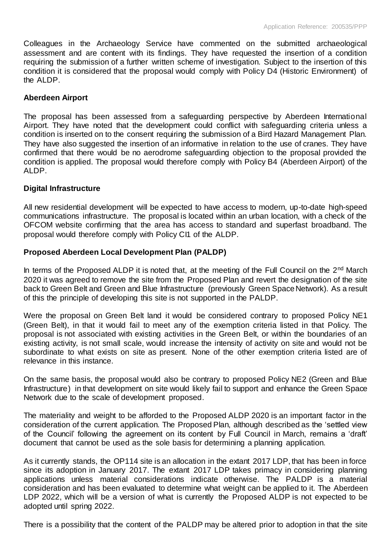Colleagues in the Archaeology Service have commented on the submitted archaeological assessment and are content with its findings. They have requested the insertion of a condition requiring the submission of a further written scheme of investigation. Subject to the insertion of this condition it is considered that the proposal would comply with Policy D4 (Historic Environment) of the ALDP.

#### **Aberdeen Airport**

The proposal has been assessed from a safeguarding perspective by Aberdeen International Airport. They have noted that the development could conflict with safeguarding criteria unless a condition is inserted on to the consent requiring the submission of a Bird Hazard Management Plan. They have also suggested the insertion of an informative in relation to the use of cranes. They have confirmed that there would be no aerodrome safeguarding objection to the proposal provided the condition is applied. The proposal would therefore comply with Policy B4 (Aberdeen Airport) of the ALDP.

#### **Digital Infrastructure**

All new residential development will be expected to have access to modern, up-to-date high-speed communications infrastructure. The proposal is located within an urban location, with a check of the OFCOM website confirming that the area has access to standard and superfast broadband. The proposal would therefore comply with Policy CI1 of the ALDP.

# **Proposed Aberdeen Local Development Plan (PALDP)**

In terms of the Proposed ALDP it is noted that, at the meeting of the Full Council on the 2<sup>nd</sup> March 2020 it was agreed to remove the site from the Proposed Plan and revert the designation of the site back to Green Belt and Green and Blue Infrastructure (previously Green Space Network). As a result of this the principle of developing this site is not supported in the PALDP.

Were the proposal on Green Belt land it would be considered contrary to proposed Policy NE1 (Green Belt), in that it would fail to meet any of the exemption criteria listed in that Policy. The proposal is not associated with existing activities in the Green Belt, or within the boundaries of an existing activity, is not small scale, would increase the intensity of activity on site and would not be subordinate to what exists on site as present. None of the other exemption criteria listed are of relevance in this instance.

On the same basis, the proposal would also be contrary to proposed Policy NE2 (Green and Blue Infrastructure) in that development on site would likely fail to support and enhance the Green Space Network due to the scale of development proposed.

The materiality and weight to be afforded to the Proposed ALDP 2020 is an important factor in the consideration of the current application. The Proposed Plan, although described as the 'settled view of the Council' following the agreement on its content by Full Council in March, remains a 'draft' document that cannot be used as the sole basis for determining a planning application.

As it currently stands, the OP114 site is an allocation in the extant 2017 LDP, that has been in force since its adoption in January 2017. The extant 2017 LDP takes primacy in considering planning applications unless material considerations indicate otherwise. The PALDP is a material consideration and has been evaluated to determine what weight can be applied to it. The Aberdeen LDP 2022, which will be a version of what is currently the Proposed ALDP is not expected to be adopted until spring 2022.

There is a possibility that the content of the PALDP may be altered prior to adoption in that the site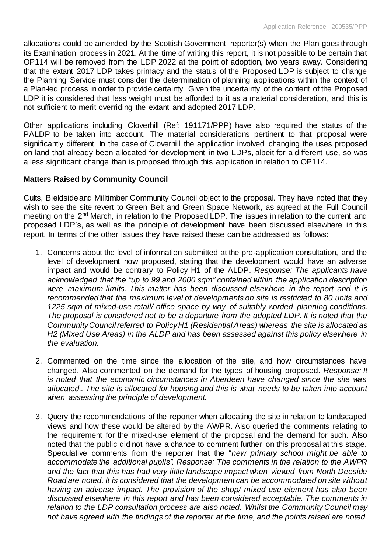allocations could be amended by the Scottish Government reporter(s) when the Plan goes through its Examination process in 2021. At the time of writing this report, it is not possible to be certain that OP114 will be removed from the LDP 2022 at the point of adoption, two years away. Considering that the extant 2017 LDP takes primacy and the status of the Proposed LDP is subject to change the Planning Service must consider the determination of planning applications within the context of a Plan-led process in order to provide certainty. Given the uncertainty of the content of the Proposed LDP it is considered that less weight must be afforded to it as a material consideration, and this is not sufficient to merit overriding the extant and adopted 2017 LDP.

Other applications including Cloverhill (Ref: 191171/PPP) have also required the status of the PALDP to be taken into account. The material considerations pertinent to that proposal were significantly different. In the case of Cloverhill the application involved changing the uses proposed on land that already been allocated for development in two LDPs, albeit for a different use, so was a less significant change than is proposed through this application in relation to OP114.

# **Matters Raised by Community Council**

Cults, Bieldside and Milltimber Community Council object to the proposal. They have noted that they wish to see the site revert to Green Belt and Green Space Network, as agreed at the Full Council meeting on the 2<sup>nd</sup> March, in relation to the Proposed LDP. The issues in relation to the current and proposed LDP's, as well as the principle of development have been discussed elsewhere in this report. In terms of the other issues they have raised these can be addressed as follows:

- 1. Concerns about the level of information submitted at the pre-application consultation, and the level of development now proposed, stating that the development would have an adverse impact and would be contrary to Policy H1 of the ALDP. *Response: The applicants have acknowledged that the "up to 99 and 2000 sqm" contained within the application description were maximum limits. This matter has been discussed elsewhere in the report and it is recommended that the maximum level of developments on site is restricted to 80 units and 1225 sqm of mixed-use retail/ office space by way of suitably worded planning conditions. The proposal is considered not to be a departure from the adopted LDP. It is noted that the Community Council referred to Policy H1 (Residential Areas) whereas the site is allocated as H2 (Mixed Use Areas) in the ALDP and has been assessed against this policy elsewhere in the evaluation.*
- 2. Commented on the time since the allocation of the site, and how circumstances have changed. Also commented on the demand for the types of housing proposed. *Response: It is noted that the economic circumstances in Aberdeen have changed since the site was allocated.. The site is allocated for housing and this is what needs to be taken into account when assessing the principle of development.*
- 3. Query the recommendations of the reporter when allocating the site in relation to landscaped views and how these would be altered by the AWPR. Also queried the comments relating to the requirement for the mixed-use element of the proposal and the demand for such. Also noted that the public did not have a chance to comment further on this proposal at this stage. Speculative comments from the reporter that the "*new primary school might be able to accommodate the additional pupils". Response: The comments in the relation to the AWPR and the fact that this has had very little landscape impact when viewed from North Deeside Road are noted. It is considered that the development can be accommodated on site without having an adverse impact. The provision of the shop/ mixed use element has also been discussed elsewhere in this report and has been considered acceptable. The comments in relation to the LDP consultation process are also noted. Whilst the Community Council may not have agreed with the findings of the reporter at the time, and the points raised are noted.*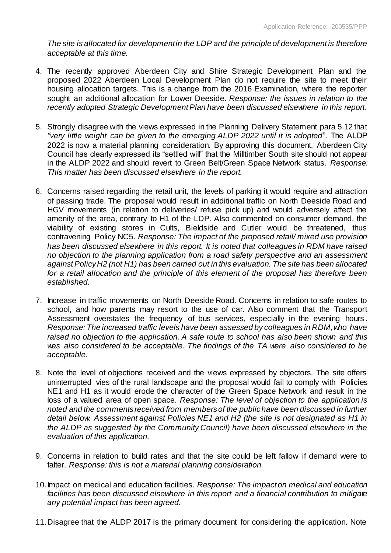*The site is allocated for development in the LDP and the principle of development is therefore acceptable at this time.*

- 4. The recently approved Aberdeen City and Shire Strategic Development Plan and the proposed 2022 Aberdeen Local Development Plan do not require the site to meet their housing allocation targets. This is a change from the 2016 Examination, where the reporter sought an additional allocation for Lower Deeside. *Response: the issues in relation to the recently adopted Strategic Development Plan have been discussed elsewhere in this report.*
- 5. Strongly disagree with the views expressed in the Planning Delivery Statement para 5.12 that *"very little weight can be given to the emerging ALDP 2022 until it is adopted*". The ALDP 2022 is now a material planning consideration. By approving this document, Aberdeen City Council has clearly expressed its "settled will" that the Milltimber South site should not appear in the ALDP 2022 and should revert to Green Belt/Green Space Network status. *Response: This matter has been discussed elsewhere in the report.*
- 6. Concerns raised regarding the retail unit, the levels of parking it would require and attraction of passing trade. The proposal would result in additional traffic on North Deeside Road and HGV movements (in relation to deliveries/ refuse pick up) and would adversely affect the amenity of the area, contrary to H1 of the LDP. Also commented on consumer demand, the viability of existing stores in Cults, Bieldside and Cutler would be threatened, thus contravening Policy NC5. *Response: The impact of the proposed retail/ mixed use provision has been discussed elsewhere in this report. It is noted that colleagues in RDM have raised no objection to the planning application from a road safety perspective and an assessment against Policy H2 (not H1) has been carried out in this evaluation. The site has been allocated for a retail allocation and the principle of this element of the proposal has therefore been established.*
- 7. Increase in traffic movements on North Deeside Road. Concerns in relation to safe routes to school, and how parents may resort to the use of car. Also comment that the Transport Assessment overstates the frequency of bus services, especially in the evening hours . *Response: The increased traffic levels have been assessed by colleagues in RDM, who have raised no objection to the application. A safe route to school has also been shown and this was also considered to be acceptable. The findings of the TA were also considered to be acceptable.*
- 8. Note the level of objections received and the views expressed by objectors. The site offers uninterrupted vies of the rural landscape and the proposal would fail to comply with Policies NE1 and H1 as it would erode the character of the Green Space Network and result in the loss of a valued area of open space. *Response: The level of objection to the application is noted and the comments received from members of the public have been discussed in further detail below. Assessment against Policies NE1 and H2 (the site is not designated as H1 in the ALDP as suggested by the Community Council) have been discussed elsewhere in the evaluation of this application.*
- 9. Concerns in relation to build rates and that the site could be left fallow if demand were to falter. *Response: this is not a material planning consideration.*
- 10.Impact on medical and education facilities. *Response: The impact on medical and education facilities has been discussed elsewhere in this report and a financial contribution to mitigate any potential impact has been agreed.*
- 11.Disagree that the ALDP 2017 is the primary document for considering the application. Note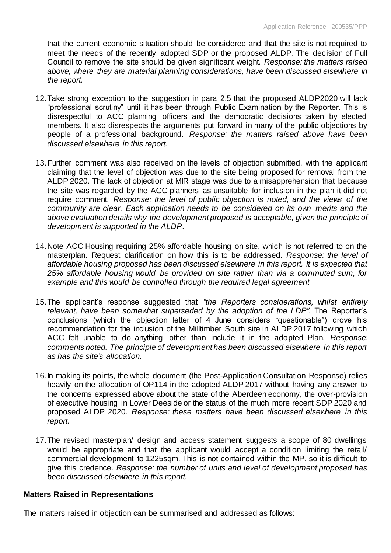that the current economic situation should be considered and that the site is not required to meet the needs of the recently adopted SDP or the proposed ALDP. The decision of Full Council to remove the site should be given significant weight. *Response: the matters raised above, where they are material planning considerations, have been discussed elsewhere in the report.* 

- 12.Take strong exception to the suggestion in para 2.5 that the proposed ALDP2020 will lack "professional scrutiny" until it has been through Public Examination by the Reporter. This is disrespectful to ACC planning officers and the democratic decisions taken by elected members. It also disrespects the arguments put forward in many of the public objections by people of a professional background. *Response: the matters raised above have been discussed elsewhere in this report.*
- 13.Further comment was also received on the levels of objection submitted, with the applicant claiming that the level of objection was due to the site being proposed for removal from the ALDP 2020. The lack of objection at MIR stage was due to a misapprehension that because the site was regarded by the ACC planners as unsuitable for inclusion in the plan it did not require comment. *Response: the level of public objection is noted, and the views of the community are clear. Each application needs to be considered on its own merits and the above evaluation details why the development proposed is acceptable, given the principle of development is supported in the ALDP.*
- 14.Note ACC Housing requiring 25% affordable housing on site, which is not referred to on the masterplan. Request clarification on how this is to be addressed. *Response: the level of affordable housing proposed has been discussed elsewhere in this report. It is expected that 25% affordable housing would be provided on site rather than via a commuted sum, for example and this would be controlled through the required legal agreement*
- 15.The applicant's response suggested that *"the Reporters considerations, whilst entirely relevant, have been somewhat superseded by the adoption of the LDP".* The Reporter's conclusions (which the objection letter of 4 June considers "questionable") drove his recommendation for the inclusion of the Milltimber South site in ALDP 2017 following which ACC felt unable to do anything other than include it in the adopted Plan. *Response: comments noted. The principle of development has been discussed elsewhere in this report as has the site's allocation.*
- 16.In making its points, the whole document (the Post-Application Consultation Response) relies heavily on the allocation of OP114 in the adopted ALDP 2017 without having any answer to the concerns expressed above about the state of the Aberdeen economy, the over-provision of executive housing in Lower Deeside or the status of the much more recent SDP 2020 and proposed ALDP 2020. *Response: these matters have been discussed elsewhere in this report.*
- 17.The revised masterplan/ design and access statement suggests a scope of 80 dwellings would be appropriate and that the applicant would accept a condition limiting the retail/ commercial development to 1225sqm. This is not contained within the MP, so it is difficult to give this credence. *Response: the number of units and level of development proposed has been discussed elsewhere in this report.*

#### **Matters Raised in Representations**

The matters raised in objection can be summarised and addressed as follows: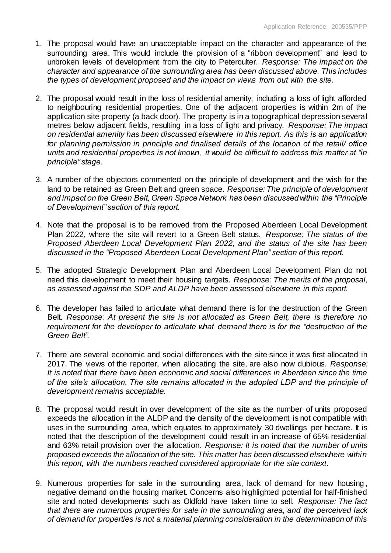- 1. The proposal would have an unacceptable impact on the character and appearance of the surrounding area. This would include the provision of a "ribbon development" and lead to unbroken levels of development from the city to Peterculter. *Response: The impact on the character and appearance of the surrounding area has been discussed above. This includes the types of development proposed and the impact on views from out with the site.*
- 2. The proposal would result in the loss of residential amenity, including a loss of light afforded to neighbouring residential properties. One of the adjacent properties is within 2m of the application site property (a back door). The property is in a topographical depression several metres below adjacent fields, resulting in a loss of light and privacy. *Response: The impact on residential amenity has been discussed elsewhere in this report. As this is an application for planning permission in principle and finalised details of the location of the retail/ office units and residential properties is not known, it would be difficult to address this matter at "in principle" stage.*
- 3. A number of the objectors commented on the principle of development and the wish for the land to be retained as Green Belt and green space. *Response: The principle of development and impact on the Green Belt, Green Space Network has been discussed within the "Principle of Development" section of this report.*
- 4. Note that the proposal is to be removed from the Proposed Aberdeen Local Development Plan 2022, where the site will revert to a Green Belt status. *Response: The status of the Proposed Aberdeen Local Development Plan 2022, and the status of the site has been discussed in the "Proposed Aberdeen Local Development Plan" section of this report.*
- 5. The adopted Strategic Development Plan and Aberdeen Local Development Plan do not need this development to meet their housing targets. *Response: The merits of the proposal, as assessed against the SDP and ALDP have been assessed elsewhere in this report.*
- 6. The developer has failed to articulate what demand there is for the destruction of the Green Belt. *Response: At present the site is not allocated as Green Belt, there is therefore no requirement for the developer to articulate what demand there is for the "destruction of the Green Belt".*
- 7. There are several economic and social differences with the site since it was first allocated in 2017. The views of the reporter, when allocating the site, are also now dubious. *Response: It is noted that there have been economic and social differences in Aberdeen since the time of the site's allocation. The site remains allocated in the adopted LDP and the principle of development remains acceptable.*
- 8. The proposal would result in over development of the site as the number of units proposed exceeds the allocation in the ALDP and the density of the development is not compatible with uses in the surrounding area, which equates to approximately 30 dwellings per hectare. It is noted that the description of the development could result in an increase of 65% residential and 63% retail provision over the allocation. *Response: It is noted that the number of units proposed exceeds the allocation of the site. This matter has been discussed elsewhere within this report, with the numbers reached considered appropriate for the site context.*
- 9. Numerous properties for sale in the surrounding area, lack of demand for new housing , negative demand on the housing market. Concerns also highlighted potential for half-finished site and noted developments such as Oldfold have taken time to sell. *Response: The fact that there are numerous properties for sale in the surrounding area, and the perceived lack of demand for properties is not a material planning consideration in the determination of this*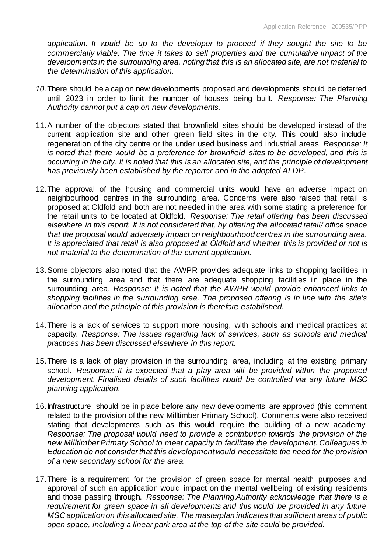*application. It would be up to the developer to proceed if they sought the site to be commercially viable. The time it takes to sell properties and the cumulative impact of the developments in the surrounding area, noting that this is an allocated site, are not material to the determination of this application.*

- *10.*There should be a cap on new developments proposed and developments should be deferred until 2023 in order to limit the number of houses being built. *Response: The Planning Authority cannot put a cap on new developments.*
- 11.A number of the objectors stated that brownfield sites should be developed instead of the current application site and other green field sites in the city. This could also include regeneration of the city centre or the under used business and industrial areas. *Response: It is noted that there would be a preference for brownfield sites to be developed, and this is occurring in the city. It is noted that this is an allocated site, and the principle of development has previously been established by the reporter and in the adopted ALDP.*
- 12.The approval of the housing and commercial units would have an adverse impact on neighbourhood centres in the surrounding area. Concerns were also raised that retail is proposed at Oldfold and both are not needed in the area with some stating a preference for the retail units to be located at Oldfold. *Response: The retail offering has been discussed elsewhere in this report. It is not considered that, by offering the allocated retail/ office space that the proposal would adversely impact on neighbourhood centres in the surrounding area. It is appreciated that retail is also proposed at Oldfold and whether this is provided or not is not material to the determination of the current application.*
- 13.Some objectors also noted that the AWPR provides adequate links to shopping facilities in the surrounding area and that there are adequate shopping facilities in place in the surrounding area. *Response: It is noted that the AWPR would provide enhanced links to shopping facilities in the surrounding area. The proposed offering is in line with the site's allocation and the principle of this provision is therefore established.*
- 14.There is a lack of services to support more housing, with schools and medical practices at capacity. *Response: The issues regarding lack of services, such as schools and medical practices has been discussed elsewhere in this report.*
- 15.There is a lack of play provision in the surrounding area, including at the existing primary school. *Response: It is expected that a play area will be provided within the proposed development. Finalised details of such facilities would be controlled via any future MSC planning application.*
- 16.Infrastructure should be in place before any new developments are approved (this comment related to the provision of the new Milltimber Primary School). Comments were also received stating that developments such as this would require the building of a new academy. *Response: The proposal would need to provide a contribution towards the provision of the new Milltimber Primary School to meet capacity to facilitate the development. Colleagues in Education do not consider that this development would necessitate the need for the provision of a new secondary school for the area.*
- 17.There is a requirement for the provision of green space for mental health purposes and approval of such an application would impact on the mental wellbeing of existing residents and those passing through. *Response: The Planning Authority acknowledge that there is a requirement for green space in all developments and this would be provided in any future MSC application on this allocated site. The masterplan indicates that sufficient areas of public open space, including a linear park area at the top of the site could be provided.*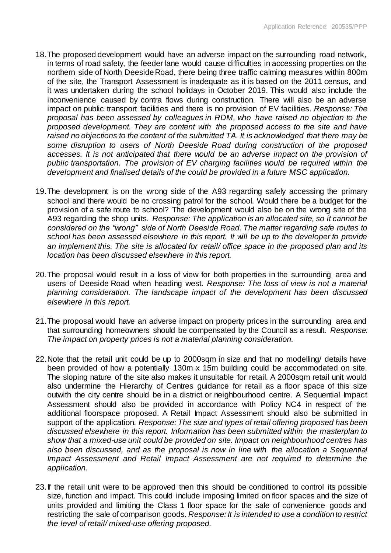- 18.The proposed development would have an adverse impact on the surrounding road network, in terms of road safety, the feeder lane would cause difficulties in accessing properties on the northern side of North Deeside Road, there being three traffic calming measures within 800m of the site, the Transport Assessment is inadequate as it is based on the 2011 census, and it was undertaken during the school holidays in October 2019. This would also include the inconvenience caused by contra flows during construction. There will also be an adverse impact on public transport facilities and there is no provision of EV facilities. *Response: The proposal has been assessed by colleagues in RDM, who have raised no objection to the proposed development. They are content with the proposed access to the site and have raised no objections to the content of the submitted TA. It is acknowledged that there may be some disruption to users of North Deeside Road during construction of the proposed accesses. It is not anticipated that there would be an adverse impact on the provision of public transportation. The provision of EV charging facilities would be required within the development and finalised details of the could be provided in a future MSC application.*
- 19.The development is on the wrong side of the A93 regarding safely accessing the primary school and there would be no crossing patrol for the school. Would there be a budget for the provision of a safe route to school? The development would also be on the wrong site of the A93 regarding the shop units. *Response: The application is an allocated site, so it cannot be considered on the "wrong" side of North Deeside Road. The matter regarding safe routes to school has been assessed elsewhere in this report. It will be up to the developer to provide an implement this. The site is allocated for retail/ office space in the proposed plan and its location has been discussed elsewhere in this report.*
- 20.The proposal would result in a loss of view for both properties in the surrounding area and users of Deeside Road when heading west. *Response: The loss of view is not a material planning consideration. The landscape impact of the development has been discussed elsewhere in this report.*
- 21.The proposal would have an adverse impact on property prices in the surrounding area and that surrounding homeowners should be compensated by the Council as a result. *Response: The impact on property prices is not a material planning consideration.*
- 22.Note that the retail unit could be up to 2000sqm in size and that no modelling/ details have been provided of how a potentially 130m x 15m building could be accommodated on site. The sloping nature of the site also makes it unsuitable for retail. A 2000sqm retail unit would also undermine the Hierarchy of Centres guidance for retail as a floor space of this size outwith the city centre should be in a district or neighbourhood centre. A Sequential Impact Assessment should also be provided in accordance with Policy NC4 in respect of the additional floorspace proposed. A Retail Impact Assessment should also be submitted in support of the application. *Response: The size and types of retail offering proposed has been discussed elsewhere in this report. Information has been submitted within the masterplan to show that a mixed-use unit could be provided on site. Impact on neighbourhood centres has also been discussed, and as the proposal is now in line with the allocation a Sequential Impact Assessment and Retail Impact Assessment are not required to determine the application.*
- 23.If the retail unit were to be approved then this should be conditioned to control its possible size, function and impact. This could include imposing limited on floor spaces and the size of units provided and limiting the Class 1 floor space for the sale of convenience goods and restricting the sale of comparison goods. *Response: It is intended to use a condition to restrict the level of retail/ mixed-use offering proposed.*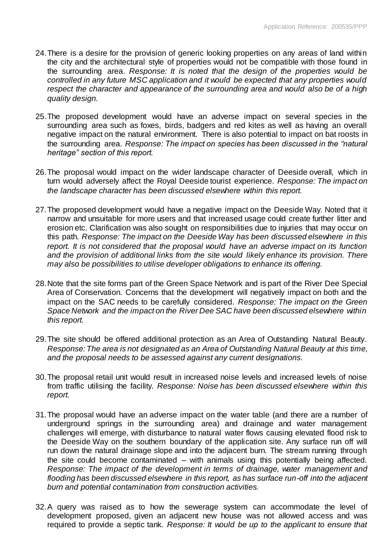- 24.There is a desire for the provision of generic looking properties on any areas of land within the city and the architectural style of properties would not be compatible with those found in the surrounding area. *Response: It is noted that the design of the properties would be controlled in any future MSC application and it would be expected that any properties would respect the character and appearance of the surrounding area and would also be of a high quality design.*
- 25.The proposed development would have an adverse impact on several species in the surrounding area such as foxes, birds, badgers and red kites as well as having an overall negative impact on the natural environment. There is also potential to impact on bat roosts in the surrounding area. *Response: The impact on species has been discussed in the "natural heritage" section of this report.*
- 26.The proposal would impact on the wider landscape character of Deeside overall, which in turn would adversely affect the Royal Deeside tourist experience. *Response: The impact on the landscape character has been discussed elsewhere within this report.*
- 27.The proposed development would have a negative impact on the Deeside Way. Noted that it narrow and unsuitable for more users and that increased usage could create further litter and erosion etc. Clarification was also sought on responsibilities due to injuries that may occur on this path. *Response: The impact on the Deeside Way has been discussed elsewhere in this report. It is not considered that the proposal would have an adverse impact on its function and the provision of additional links from the site would likely enhance its provision. There may also be possibilities to utilise developer obligations to enhance its offering.*
- 28.Note that the site forms part of the Green Space Network and is part of the River Dee Special Area of Conservation. Concerns that the development will negatively impact on both and the impact on the SAC needs to be carefully considered. *Response: The impact on the Green Space Network and the impact on the River Dee SAC have been discussed elsewhere within this report.*
- 29.The site should be offered additional protection as an Area of Outstanding Natural Beauty. *Response: The area is not designated as an Area of Outstanding Natural Beauty at this time, and the proposal needs to be assessed against any current designations.*
- 30.The proposal retail unit would result in increased noise levels and increased levels of noise from traffic utilising the facility. *Response: Noise has been discussed elsewhere within this report.*
- 31.The proposal would have an adverse impact on the water table (and there are a number of underground springs in the surrounding area) and drainage and water management challenges will emerge, with disturbance to natural water flows causing elevated flood risk to the Deeside Way on the southern boundary of the application site. Any surface run off will run down the natural drainage slope and into the adjacent burn. The stream running through the site could become contaminated – with animals using this potentially being affected. *Response: The impact of the development in terms of drainage, water management and flooding has been discussed elsewhere in this report, as has surface run-off into the adjacent burn and potential contamination from construction activities.*
- 32.A query was raised as to how the sewerage system can accommodate the level of development proposed, given an adjacent new house was not allowed access and was required to provide a septic tank. *Response: It would be up to the applicant to ensure that*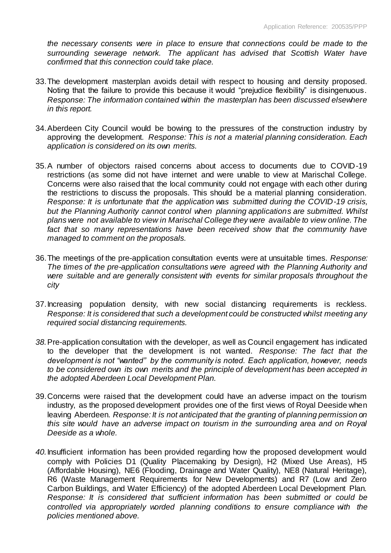*the necessary consents were in place to ensure that connections could be made to the surrounding sewerage network. The applicant has advised that Scottish Water have confirmed that this connection could take place.*

- 33.The development masterplan avoids detail with respect to housing and density proposed. Noting that the failure to provide this because it would "prejudice flexibility" is disingenuous. *Response: The information contained within the masterplan has been discussed elsewhere in this report.*
- 34.Aberdeen City Council would be bowing to the pressures of the construction industry by approving the development. *Response: This is not a material planning consideration. Each application is considered on its own merits.*
- 35.A number of objectors raised concerns about access to documents due to COVID-19 restrictions (as some did not have internet and were unable to view at Marischal College. Concerns were also raised that the local community could not engage with each other during the restrictions to discuss the proposals. This should be a material planning consideration. *Response: It is unfortunate that the application was submitted during the COVID-19 crisis, but the Planning Authority cannot control when planning applications are submitted. Whilst plans were not available to view in Marischal College they were available to view online. The*  fact that so many representations have been received show that the community have *managed to comment on the proposals.*
- 36.The meetings of the pre-application consultation events were at unsuitable times. *Response: The times of the pre-application consultations were agreed with the Planning Authority and were suitable and are generally consistent with events for similar proposals throughout the city*
- 37.Increasing population density, with new social distancing requirements is reckless. *Response: It is considered that such a development could be constructed whilst meeting any required social distancing requirements.*
- *38.*Pre-application consultation with the developer, as well as Council engagement has indicated to the developer that the development is not wanted. *Response: The fact that the development is not "wanted" by the community is noted. Each application, however, needs to be considered own its own merits and the principle of development has been accepted in the adopted Aberdeen Local Development Plan.*
- 39.Concerns were raised that the development could have an adverse impact on the tourism industry, as the proposed development provides one of the first views of Royal Deeside when leaving Aberdeen. *Response: It is not anticipated that the granting of planning permission on this site would have an adverse impact on tourism in the surrounding area and on Royal Deeside as a whole.*
- *40.*Insufficient information has been provided regarding how the proposed development would comply with Policies D1 (Quality Placemaking by Design), H2 (Mixed Use Areas), H5 (Affordable Housing), NE6 (Flooding, Drainage and Water Quality), NE8 (Natural Heritage), R6 (Waste Management Requirements for New Developments) and R7 (Low and Zero Carbon Buildings, and Water Efficiency) of the adopted Aberdeen Local Development Plan. *Response: It is considered that sufficient information has been submitted or could be controlled via appropriately worded planning conditions to ensure compliance with the policies mentioned above.*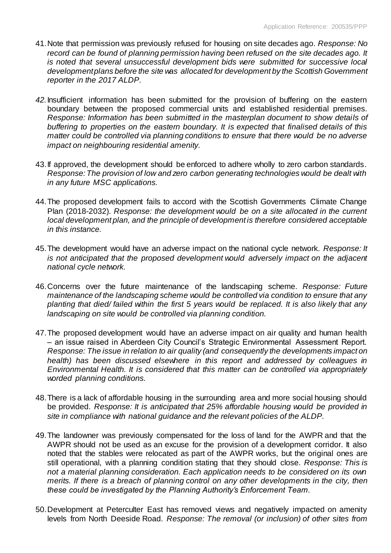- 41.Note that permission was previously refused for housing on site decades ago. *Response: No record can be found of planning permission having been refused on the site decades ago. It is noted that several unsuccessful development bids were submitted for successive local development plans before the site was allocated for development by the Scottish Government reporter in the 2017 ALDP.*
- *42.*Insufficient information has been submitted for the provision of buffering on the eastern boundary between the proposed commercial units and established residential premises. *Response: Information has been submitted in the masterplan document to show details of buffering to properties on the eastern boundary. It is expected that finalised details of this matter could be controlled via planning conditions to ensure that there would be no adverse impact on neighbouring residential amenity.*
- 43.If approved, the development should be enforced to adhere wholly to zero carbon standards. *Response: The provision of low and zero carbon generating technologies would be dealt with in any future MSC applications.*
- 44.The proposed development fails to accord with the Scottish Governments Climate Change Plan (2018-2032). *Response: the development would be on a site allocated in the current local development plan, and the principle of development is therefore considered acceptable in this instance.*
- 45.The development would have an adverse impact on the national cycle network. *Response: It is not anticipated that the proposed development would adversely impact on the adjacent national cycle network.*
- 46.Concerns over the future maintenance of the landscaping scheme. *Response: Future maintenance of the landscaping scheme would be controlled via condition to ensure that any planting that died/ failed within the first 5 years would be replaced. It is also likely that any landscaping on site would be controlled via planning condition.*
- 47.The proposed development would have an adverse impact on air quality and human health – an issue raised in Aberdeen City Council's Strategic Environmental Assessment Report. *Response: The issue in relation to air quality (and consequently the developments impact on health)* has been discussed elsewhere in this report and addressed by colleagues in *Environmental Health. It is considered that this matter can be controlled via appropriately worded planning conditions.*
- 48.There is a lack of affordable housing in the surrounding area and more social housing should be provided. *Response: It is anticipated that 25% affordable housing would be provided in site in compliance with national guidance and the relevant policies of the ALDP.*
- 49.The landowner was previously compensated for the loss of land for the AWPR and that the AWPR should not be used as an excuse for the provision of a development corridor. It also noted that the stables were relocated as part of the AWPR works, but the original ones are still operational, with a planning condition stating that they should close. *Response: This is not a material planning consideration. Each application needs to be considered on its own merits. If there is a breach of planning control on any other developments in the city, then these could be investigated by the Planning Authority's Enforcement Team.*
- 50.Development at Peterculter East has removed views and negatively impacted on amenity levels from North Deeside Road. *Response: The removal (or inclusion) of other sites from*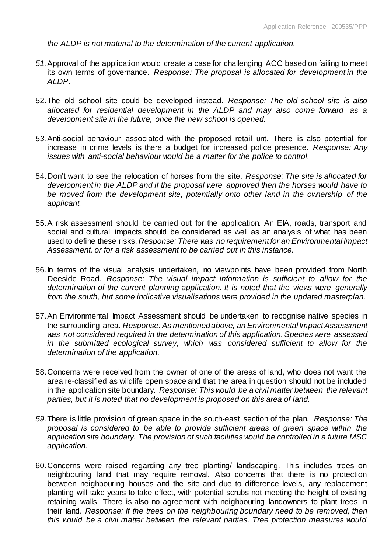*the ALDP is not material to the determination of the current application.* 

- *51.*Approval of the application would create a case for challenging ACC based on failing to meet its own terms of governance. *Response: The proposal is allocated for development in the ALDP.*
- 52.The old school site could be developed instead. *Response: The old school site is also allocated for residential development in the ALDP and may also come forward as a development site in the future, once the new school is opened.*
- *53.*Anti-social behaviour associated with the proposed retail unt. There is also potential for increase in crime levels is there a budget for increased police presence. *Response: Any issues with anti-social behaviour would be a matter for the police to control.*
- 54.Don't want to see the relocation of horses from the site. *Response: The site is allocated for development in the ALDP and if the proposal were approved then the horses would have to be moved from the development site, potentially onto other land in the ownership of the applicant.*
- 55.A risk assessment should be carried out for the application. An EIA, roads, transport and social and cultural impacts should be considered as well as an analysis of what has been used to define these risks. *Response: There was no requirement for an Environmental Impact Assessment, or for a risk assessment to be carried out in this instance.*
- 56.In terms of the visual analysis undertaken, no viewpoints have been provided from North Deeside Road. *Response: The visual impact information is sufficient to allow for the determination of the current planning application. It is noted that the views were generally from the south, but some indicative visualisations were provided in the updated masterplan.*
- 57.An Environmental Impact Assessment should be undertaken to recognise native species in the surrounding area. *Response: As mentioned above, an Environmental Impact Assessment was not considered required in the determination of this application. Species were assessed*  in the submitted ecological survey, which was considered sufficient to allow for the *determination of the application.*
- 58.Concerns were received from the owner of one of the areas of land, who does not want the area re-classified as wildlife open space and that the area in question should not be included in the application site boundary. *Response: This would be a civil matter between the relevant parties, but it is noted that no development is proposed on this area of land.*
- *59.*There is little provision of green space in the south-east section of the plan. *Response: The proposal is considered to be able to provide sufficient areas of green space within the application site boundary. The provision of such facilities would be controlled in a future MSC application.*
- 60.Concerns were raised regarding any tree planting/ landscaping. This includes trees on neighbouring land that may require removal. Also concerns that there is no protection between neighbouring houses and the site and due to difference levels, any replacement planting will take years to take effect, with potential scrubs not meeting the height of existing retaining walls. There is also no agreement with neighbouring landowners to plant trees in their land. *Response: If the trees on the neighbouring boundary need to be removed, then this would be a civil matter between the relevant parties. Tree protection measures would*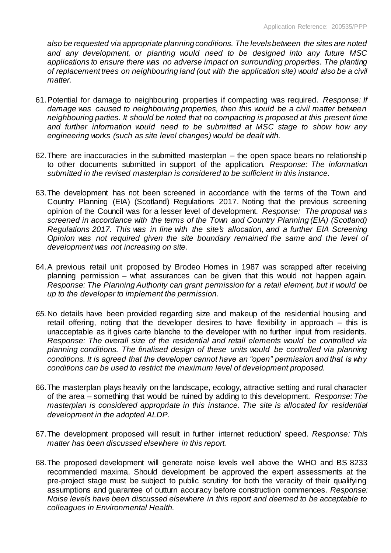*also be requested via appropriate planning conditions. The levels between the sites are noted and any development, or planting would need to be designed into any future MSC applications to ensure there was no adverse impact on surrounding properties. The planting of replacement trees on neighbouring land (out with the application site) would also be a civil matter.* 

- 61.Potential for damage to neighbouring properties if compacting was required. *Response: If damage was caused to neighbouring properties, then this would be a civil matter between neighbouring parties. It should be noted that no compacting is proposed at this present time and further information would need to be submitted at MSC stage to show how any engineering works (such as site level changes) would be dealt with.*
- 62.There are inaccuracies in the submitted masterplan the open space bears no relationship to other documents submitted in support of the application. *Response: The information submitted in the revised masterplan is considered to be sufficient in this instance.*
- 63.The development has not been screened in accordance with the terms of the Town and Country Planning (EIA) (Scotland) Regulations 2017. Noting that the previous screening opinion of the Council was for a lesser level of development. *Response: The proposal was screened in accordance with the terms of the Town and Country Planning (EIA) (Scotland) Regulations 2017. This was in line with the site's allocation, and a further EIA Screening Opinion was not required given the site boundary remained the same and the level of development was not increasing on site.*
- 64.A previous retail unit proposed by Brodeo Homes in 1987 was scrapped after receiving planning permission – what assurances can be given that this would not happen again. *Response: The Planning Authority can grant permission for a retail element, but it would be up to the developer to implement the permission.*
- *65.*No details have been provided regarding size and makeup of the residential housing and retail offering, noting that the developer desires to have flexibility in approach – this is unacceptable as it gives carte blanche to the developer with no further input from residents. *Response: The overall size of the residential and retail elements would be controlled via planning conditions. The finalised design of these units would be controlled via planning conditions. It is agreed that the developer cannot have an "open" permission and that is why conditions can be used to restrict the maximum level of development proposed.*
- 66.The masterplan plays heavily on the landscape, ecology, attractive setting and rural character of the area – something that would be ruined by adding to this development. *Response: The masterplan is considered appropriate in this instance. The site is allocated for residential development in the adopted ALDP.*
- 67.The development proposed will result in further internet reduction/ speed. *Response: This matter has been discussed elsewhere in this report.*
- 68.The proposed development will generate noise levels well above the WHO and BS 8233 recommended maxima. Should development be approved the expert assessments at the pre-project stage must be subject to public scrutiny for both the veracity of their qualifying assumptions and guarantee of outturn accuracy before construction commences. *Response: Noise levels have been discussed elsewhere in this report and deemed to be acceptable to colleagues in Environmental Health.*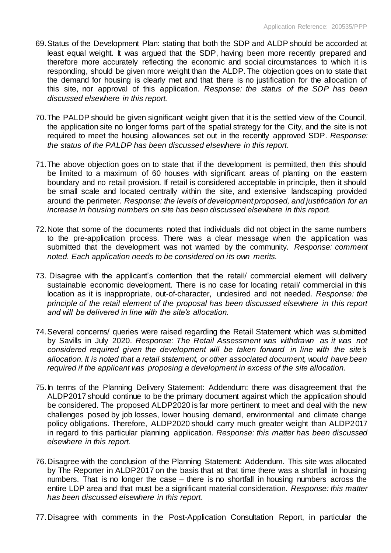- 69.Status of the Development Plan: stating that both the SDP and ALDP should be accorded at least equal weight. It was argued that the SDP, having been more recently prepared and therefore more accurately reflecting the economic and social circumstances to which it is responding, should be given more weight than the ALDP. The objection goes on to state that the demand for housing is clearly met and that there is no justification for the allocation of this site, nor approval of this application. *Response: the status of the SDP has been discussed elsewhere in this report.*
- 70.The PALDP should be given significant weight given that it is the settled view of the Council, the application site no longer forms part of the spatial strategy for the City, and the site is not required to meet the housing allowances set out in the recently approved SDP. *Response: the status of the PALDP has been discussed elsewhere in this report.*
- 71.The above objection goes on to state that if the development is permitted, then this should be limited to a maximum of 60 houses with significant areas of planting on the eastern boundary and no retail provision. If retail is considered acceptable in principle, then it should be small scale and located centrally within the site, and extensive landscaping provided around the perimeter. *Response: the levels of development proposed, and justification for an increase in housing numbers on site has been discussed elsewhere in this report.*
- 72.Note that some of the documents noted that individuals did not object in the same numbers to the pre-application process. There was a clear message when the application was submitted that the development was not wanted by the community. *Response: comment noted. Each application needs to be considered on its own merits.*
- 73. Disagree with the applicant's contention that the retail/ commercial element will delivery sustainable economic development. There is no case for locating retail/ commercial in this location as it is inappropriate, out-of-character, undesired and not needed. *Response: the principle of the retail element of the proposal has been discussed elsewhere in this report and will be delivered in line with the site's allocation.*
- 74.Several concerns/ queries were raised regarding the Retail Statement which was submitted by Savills in July 2020. *Response: The Retail Assessment was withdrawn as it was not considered required given the development will be taken forward in line with the site's allocation. It is noted that a retail statement, or other associated document, would have been required if the applicant was proposing a development in excess of the site allocation.*
- 75.In terms of the Planning Delivery Statement: Addendum: there was disagreement that the ALDP2017 should continue to be the primary document against which the application should be considered. The proposed ALDP2020 is far more pertinent to meet and deal with the new challenges posed by job losses, lower housing demand, environmental and climate change policy obligations. Therefore, ALDP2020 should carry much greater weight than ALDP2017 in regard to this particular planning application. *Response: this matter has been discussed elsewhere in this report.*
- 76.Disagree with the conclusion of the Planning Statement: Addendum. This site was allocated by The Reporter in ALDP2017 on the basis that at that time there was a shortfall in housing numbers. That is no longer the case – there is no shortfall in housing numbers across the entire LDP area and that must be a significant material consideration. *Response: this matter has been discussed elsewhere in this report.*
- 77.Disagree with comments in the Post-Application Consultation Report, in particular the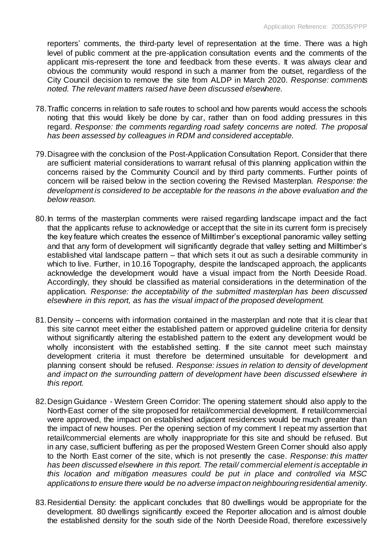reporters' comments, the third-party level of representation at the time. There was a high level of public comment at the pre-application consultation events and the comments of the applicant mis-represent the tone and feedback from these events. It was always clear and obvious the community would respond in such a manner from the outset, regardless of the City Council decision to remove the site from ALDP in March 2020. *Response: comments noted. The relevant matters raised have been discussed elsewhere.*

- 78.Traffic concerns in relation to safe routes to school and how parents would access the schools noting that this would likely be done by car, rather than on food adding pressures in this regard. *Response: the comments regarding road safety concerns are noted. The proposal has been assessed by colleagues in RDM and considered acceptable.*
- 79.Disagree with the conclusion of the Post-Application Consultation Report. Consider that there are sufficient material considerations to warrant refusal of this planning application within the concerns raised by the Community Council and by third party comments. Further points of concern will be raised below in the section covering the Revised Masterplan. *Response: the development is considered to be acceptable for the reasons in the above evaluation and the below reason.*
- 80.In terms of the masterplan comments were raised regarding landscape impact and the fact that the applicants refuse to acknowledge or accept that the site in its current form is precisely the key feature which creates the essence of Milltimber's exceptional panoramic valley setting and that any form of development will significantly degrade that valley setting and Milltimber's established vital landscape pattern – that which sets it out as such a desirable community in which to live. Further, in 10.16 Topography, despite the landscaped approach, the applicants acknowledge the development would have a visual impact from the North Deeside Road. Accordingly, they should be classified as material considerations in the determination of the application. *Response: the acceptability of the submitted masterplan has been discussed elsewhere in this report, as has the visual impact of the proposed development.*
- 81.Density concerns with information contained in the masterplan and note that it is clear that this site cannot meet either the established pattern or approved guideline criteria for density without significantly altering the established pattern to the extent any development would be wholly inconsistent with the established setting. If the site cannot meet such mainstay development criteria it must therefore be determined unsuitable for development and planning consent should be refused. *Response: issues in relation to density of development and impact on the surrounding pattern of development have been discussed elsewhere in this report.*
- 82.Design Guidance Western Green Corridor: The opening statement should also apply to the North-East corner of the site proposed for retail/commercial development. If retail/commercial were approved, the impact on established adjacent residences would be much greater than the impact of new houses. Per the opening section of my comment I repeat my assertion that retail/commercial elements are wholly inappropriate for this site and should be refused. But in any case, sufficient buffering as per the proposed Western Green Corner should also apply to the North East corner of the site, which is not presently the case. *Response: this matter has been discussed elsewhere in this report. The retail/ commercial element is acceptable in this location and mitigation measures could be put in place and controlled via MSC applications to ensure there would be no adverse impact on neighbouring residential amenity.*
- 83.Residential Density: the applicant concludes that 80 dwellings would be appropriate for the development. 80 dwellings significantly exceed the Reporter allocation and is almost double the established density for the south side of the North Deeside Road, therefore excessively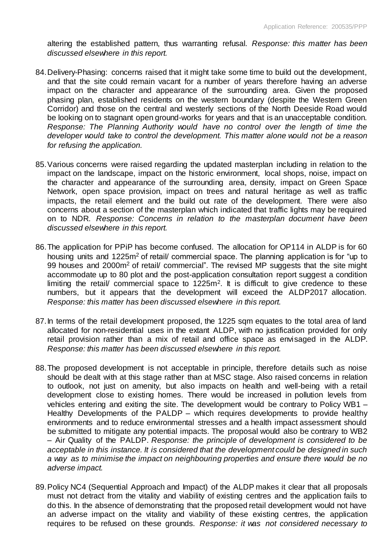altering the established pattern, thus warranting refusal. *Response: this matter has been discussed elsewhere in this report.* 

- 84.Delivery-Phasing: concerns raised that it might take some time to build out the development, and that the site could remain vacant for a number of years therefore having an adverse impact on the character and appearance of the surrounding area. Given the proposed phasing plan, established residents on the western boundary (despite the Western Green Corridor) and those on the central and westerly sections of the North Deeside Road would be looking on to stagnant open ground-works for years and that is an unacceptable condition. *Response: The Planning Authority would have no control over the length of time the developer would take to control the development. This matter alone would not be a reason for refusing the application.*
- 85.Various concerns were raised regarding the updated masterplan including in relation to the impact on the landscape, impact on the historic environment, local shops, noise, impact on the character and appearance of the surrounding area, density, impact on Green Space Network, open space provision, impact on trees and natural heritage as well as traffic impacts, the retail element and the build out rate of the development. There were also concerns about a section of the masterplan which indicated that traffic lights may be required on to NDR. *Response: Concerns in relation to the masterplan document have been discussed elsewhere in this report.*
- 86.The application for PPiP has become confused. The allocation for OP114 in ALDP is for 60 housing units and 1225m<sup>2</sup> of retail/ commercial space. The planning application is for "up to 99 houses and 2000m<sup>2</sup> of retail/ commercial". The revised MP suggests that the site might accommodate up to 80 plot and the post-application consultation report suggest a condition limiting the retail/ commercial space to  $1225m^2$ . It is difficult to give credence to these numbers, but it appears that the development will exceed the ALDP2017 allocation. *Response: this matter has been discussed elsewhere in this report.*
- 87.In terms of the retail development proposed, the 1225 sqm equates to the total area of land allocated for non-residential uses in the extant ALDP, with no justification provided for only retail provision rather than a mix of retail and office space as envisaged in the ALDP. *Response: this matter has been discussed elsewhere in this report.*
- 88.The proposed development is not acceptable in principle, therefore details such as noise should be dealt with at this stage rather than at MSC stage. Also raised concerns in relation to outlook, not just on amenity, but also impacts on health and well-being with a retail development close to existing homes. There would be increased in pollution levels from vehicles entering and exiting the site. The development would be contrary to Policy WB1 – Healthy Developments of the PALDP – which requires developments to provide healthy environments and to reduce environmental stresses and a health impact assessment should be submitted to mitigate any potential impacts. The proposal would also be contrary to WB2 – Air Quality of the PALDP. *Response: the principle of development is considered to be acceptable in this instance. It is considered that the development could be designed in such a way as to minimise the impact on neighbouring properties and ensure there would be no adverse impact.*
- 89.Policy NC4 (Sequential Approach and Impact) of the ALDP makes it clear that all proposals must not detract from the vitality and viability of existing centres and the application fails to do this. In the absence of demonstrating that the proposed retail development would not have an adverse impact on the vitality and viability of these existing centres, the application requires to be refused on these grounds. *Response: it was not considered necessary to*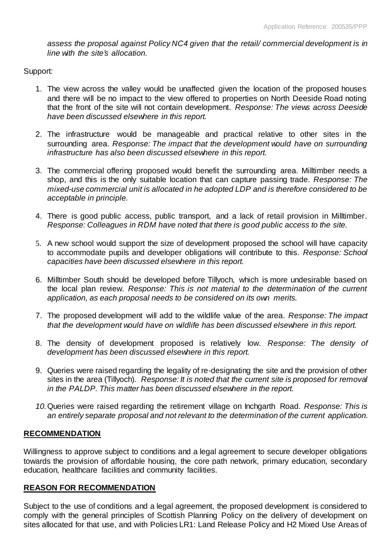*assess the proposal against Policy NC4 given that the retail/ commercial development is in line with the site's allocation.* 

Support:

- 1. The view across the valley would be unaffected given the location of the proposed houses and there will be no impact to the view offered to properties on North Deeside Road noting that the front of the site will not contain development. *Response: The views across Deeside have been discussed elsewhere in this report.*
- 2. The infrastructure would be manageable and practical relative to other sites in the surrounding area. *Response: The impact that the development would have on surrounding infrastructure has also been discussed elsewhere in this report.*
- 3. The commercial offering proposed would benefit the surrounding area. Milltimber needs a shop, and this is the only suitable location that can capture passing trade. *Response: The mixed-use commercial unit is allocated in he adopted LDP and is therefore considered to be acceptable in principle.*
- 4. There is good public access, public transport, and a lack of retail provision in Milltimber. *Response: Colleagues in RDM have noted that there is good public access to the site.*
- 5. A new school would support the size of development proposed the school will have capacity to accommodate pupils and developer obligations will contribute to this. *Response: School capacities have been discussed elsewhere in this report.*
- 6. Milltimber South should be developed before Tillyoch, which is more undesirable based on the local plan review. *Response: This is not material to the determination of the current application, as each proposal needs to be considered on its own merits.*
- 7. The proposed development will add to the wildlife value of the area. *Response: The impact that the development would have on wildlife has been discussed elsewhere in this report.*
- 8. The density of development proposed is relatively low. *Response: The density of development has been discussed elsewhere in this report.*
- 9. Queries were raised regarding the legality of re-designating the site and the provision of other sites in the area (Tillyoch). *Response: It is noted that the current site is proposed for removal in the PALDP. This matter has been discussed elsewhere in the report.*
- *10.*Queries were raised regarding the retirement village on Inchgarth Road. *Response: This is an entirely separate proposal and not relevant to the determination of the current application.*

# **RECOMMENDATION**

Willingness to approve subject to conditions and a legal agreement to secure developer obligations towards the provision of affordable housing, the core path network, primary education, secondary education, healthcare facilities and community facilities.

# **REASON FOR RECOMMENDATION**

Subject to the use of conditions and a legal agreement, the proposed development is considered to comply with the general principles of Scottish Planning Policy on the delivery of development on sites allocated for that use, and with Policies LR1: Land Release Policy and H2 Mixed Use Areas of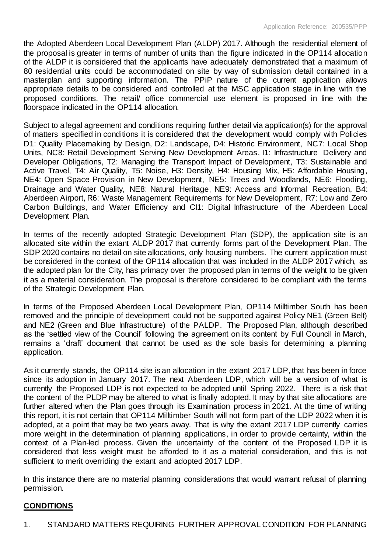the Adopted Aberdeen Local Development Plan (ALDP) 2017. Although the residential element of the proposal is greater in terms of number of units than the figure indicated in the OP114 allocation of the ALDP it is considered that the applicants have adequately demonstrated that a maximum of 80 residential units could be accommodated on site by way of submission detail contained in a masterplan and supporting information. The PPiP nature of the current application allows appropriate details to be considered and controlled at the MSC application stage in line with the proposed conditions. The retail/ office commercial use element is proposed in line with the floorspace indicated in the OP114 allocation.

Subject to a legal agreement and conditions requiring further detail via application(s) for the approval of matters specified in conditions it is considered that the development would comply with Policies D1: Quality Placemaking by Design, D2: Landscape, D4: Historic Environment, NC7: Local Shop Units, NC8: Retail Development Serving New Development Areas, I1: Infrastructure Delivery and Developer Obligations, T2: Managing the Transport Impact of Development, T3: Sustainable and Active Travel, T4: Air Quality, T5: Noise, H3: Density, H4: Housing Mix, H5: Affordable Housing, NE4: Open Space Provision in New Development, NE5: Trees and Woodlands, NE6: Flooding, Drainage and Water Quality, NE8: Natural Heritage, NE9: Access and Informal Recreation, B4: Aberdeen Airport, R6: Waste Management Requirements for New Development, R7: Low and Zero Carbon Buildings, and Water Efficiency and CI1: Digital Infrastructure of the Aberdeen Local Development Plan.

In terms of the recently adopted Strategic Development Plan (SDP), the application site is an allocated site within the extant ALDP 2017 that currently forms part of the Development Plan. The SDP 2020 contains no detail on site allocations, only housing numbers. The current application must be considered in the context of the OP114 allocation that was included in the ALDP 2017 which, as the adopted plan for the City, has primacy over the proposed plan in terms of the weight to be given it as a material consideration. The proposal is therefore considered to be compliant with the terms of the Strategic Development Plan.

In terms of the Proposed Aberdeen Local Development Plan, OP114 Milltimber South has been removed and the principle of development could not be supported against Policy NE1 (Green Belt) and NE2 (Green and Blue Infrastructure) of the PALDP. The Proposed Plan, although described as the 'settled view of the Council' following the agreement on its content by Full Council in March, remains a 'draft' document that cannot be used as the sole basis for determining a planning application.

As it currently stands, the OP114 site is an allocation in the extant 2017 LDP, that has been in force since its adoption in January 2017. The next Aberdeen LDP, which will be a version of what is currently the Proposed LDP is not expected to be adopted until Spring 2022. There is a risk that the content of the PLDP may be altered to what is finally adopted. It may by that site allocations are further altered when the Plan goes through its Examination process in 2021. At the time of writing this report, it is not certain that OP114 Milltimber South will not form part of the LDP 2022 when it is adopted, at a point that may be two years away. That is why the extant 2017 LDP currently carries more weight in the determination of planning applications, in order to provide certainty, within the context of a Plan-led process. Given the uncertainty of the content of the Proposed LDP it is considered that less weight must be afforded to it as a material consideration, and this is not sufficient to merit overriding the extant and adopted 2017 LDP.

In this instance there are no material planning considerations that would warrant refusal of planning permission.

# **CONDITIONS**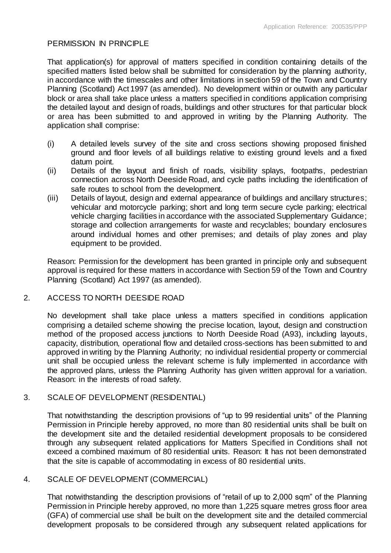#### PERMISSION IN PRINCIPLE

That application(s) for approval of matters specified in condition containing details of the specified matters listed below shall be submitted for consideration by the planning authority, in accordance with the timescales and other limitations in section 59 of the Town and Country Planning (Scotland) Act 1997 (as amended). No development within or outwith any particular block or area shall take place unless a matters specified in conditions application comprising the detailed layout and design of roads, buildings and other structures for that particular block or area has been submitted to and approved in writing by the Planning Authority. The application shall comprise:

- (i) A detailed levels survey of the site and cross sections showing proposed finished ground and floor levels of all buildings relative to existing ground levels and a fixed datum point.
- (ii) Details of the layout and finish of roads, visibility splays, footpaths, pedestrian connection across North Deeside Road, and cycle paths including the identification of safe routes to school from the development.
- (iii) Details of layout, design and external appearance of buildings and ancillary structures; vehicular and motorcycle parking; short and long term secure cycle parking; electrical vehicle charging facilities in accordance with the associated Supplementary Guidance; storage and collection arrangements for waste and recyclables; boundary enclosures around individual homes and other premises; and details of play zones and play equipment to be provided.

Reason: Permission for the development has been granted in principle only and subsequent approval is required for these matters in accordance with Section 59 of the Town and Country Planning (Scotland) Act 1997 (as amended).

# 2. ACCESS TO NORTH DEESIDE ROAD

No development shall take place unless a matters specified in conditions application comprising a detailed scheme showing the precise location, layout, design and construction method of the proposed access junctions to North Deeside Road (A93), including layouts, capacity, distribution, operational flow and detailed cross-sections has been submitted to and approved in writing by the Planning Authority; no individual residential property or commercial unit shall be occupied unless the relevant scheme is fully implemented in accordance with the approved plans, unless the Planning Authority has given written approval for a variation. Reason: in the interests of road safety.

# 3. SCALE OF DEVELOPMENT (RESIDENTIAL)

That notwithstanding the description provisions of "up to 99 residential units" of the Planning Permission in Principle hereby approved, no more than 80 residential units shall be built on the development site and the detailed residential development proposals to be considered through any subsequent related applications for Matters Specified in Conditions shall not exceed a combined maximum of 80 residential units. Reason: It has not been demonstrated that the site is capable of accommodating in excess of 80 residential units.

# 4. SCALE OF DEVELOPMENT (COMMERCIAL)

That notwithstanding the description provisions of "retail of up to 2,000 sqm" of the Planning Permission in Principle hereby approved, no more than 1,225 square metres gross floor area (GFA) of commercial use shall be built on the development site and the detailed commercial development proposals to be considered through any subsequent related applications for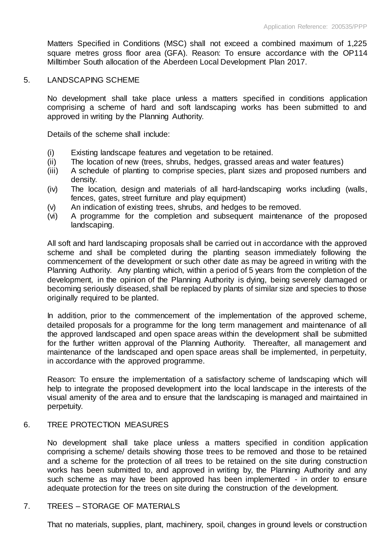Matters Specified in Conditions (MSC) shall not exceed a combined maximum of 1,225 square metres gross floor area (GFA). Reason: To ensure accordance with the OP114 Milltimber South allocation of the Aberdeen Local Development Plan 2017.

#### 5. LANDSCAPING SCHEME

No development shall take place unless a matters specified in conditions application comprising a scheme of hard and soft landscaping works has been submitted to and approved in writing by the Planning Authority.

Details of the scheme shall include:

- (i) Existing landscape features and vegetation to be retained.
- (ii) The location of new (trees, shrubs, hedges, grassed areas and water features)
- (iii) A schedule of planting to comprise species, plant sizes and proposed numbers and density.
- (iv) The location, design and materials of all hard-landscaping works including (walls, fences, gates, street furniture and play equipment)
- (v) An indication of existing trees, shrubs, and hedges to be removed.
- (vi) A programme for the completion and subsequent maintenance of the proposed landscaping.

All soft and hard landscaping proposals shall be carried out in accordance with the approved scheme and shall be completed during the planting season immediately following the commencement of the development or such other date as may be agreed in writing with the Planning Authority. Any planting which, within a period of 5 years from the completion of the development, in the opinion of the Planning Authority is dying, being severely damaged or becoming seriously diseased, shall be replaced by plants of similar size and species to those originally required to be planted.

In addition, prior to the commencement of the implementation of the approved scheme, detailed proposals for a programme for the long term management and maintenance of all the approved landscaped and open space areas within the development shall be submitted for the further written approval of the Planning Authority. Thereafter, all management and maintenance of the landscaped and open space areas shall be implemented, in perpetuity, in accordance with the approved programme.

Reason: To ensure the implementation of a satisfactory scheme of landscaping which will help to integrate the proposed development into the local landscape in the interests of the visual amenity of the area and to ensure that the landscaping is managed and maintained in perpetuity.

# 6. TREE PROTECTION MEASURES

No development shall take place unless a matters specified in condition application comprising a scheme/ details showing those trees to be removed and those to be retained and a scheme for the protection of all trees to be retained on the site during construction works has been submitted to, and approved in writing by, the Planning Authority and any such scheme as may have been approved has been implemented - in order to ensure adequate protection for the trees on site during the construction of the development.

# 7. TREES – STORAGE OF MATERIALS

That no materials, supplies, plant, machinery, spoil, changes in ground levels or construction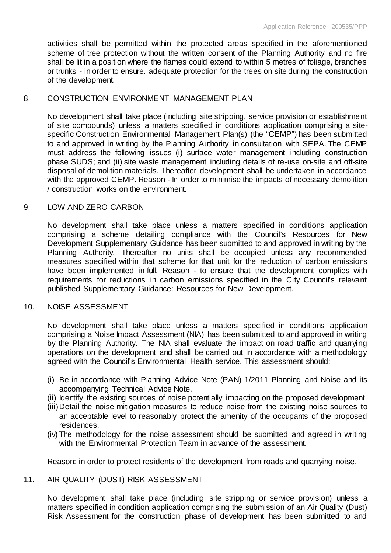activities shall be permitted within the protected areas specified in the aforementioned scheme of tree protection without the written consent of the Planning Authority and no fire shall be lit in a position where the flames could extend to within 5 metres of foliage, branches or trunks - in order to ensure. adequate protection for the trees on site during the construction of the development.

#### 8. CONSTRUCTION ENVIRONMENT MANAGEMENT PLAN

No development shall take place (including site stripping, service provision or establishment of site compounds) unless a matters specified in conditions application comprising a sitespecific Construction Environmental Management Plan(s) (the "CEMP") has been submitted to and approved in writing by the Planning Authority in consultation with SEPA. The CEMP must address the following issues (i) surface water management including construction phase SUDS; and (ii) site waste management including details of re-use on-site and off-site disposal of demolition materials. Thereafter development shall be undertaken in accordance with the approved CEMP. Reason - In order to minimise the impacts of necessary demolition / construction works on the environment.

#### 9. LOW AND ZERO CARBON

No development shall take place unless a matters specified in conditions application comprising a scheme detailing compliance with the Council's Resources for New Development Supplementary Guidance has been submitted to and approved in writing by the Planning Authority. Thereafter no units shall be occupied unless any recommended measures specified within that scheme for that unit for the reduction of carbon emissions have been implemented in full. Reason - to ensure that the development complies with requirements for reductions in carbon emissions specified in the City Council's relevant published Supplementary Guidance: Resources for New Development.

#### 10. NOISE ASSESSMENT

No development shall take place unless a matters specified in conditions application comprising a Noise Impact Assessment (NIA) has been submitted to and approved in writing by the Planning Authority. The NIA shall evaluate the impact on road traffic and quarrying operations on the development and shall be carried out in accordance with a methodology agreed with the Council's Environmental Health service. This assessment should:

- (i) Be in accordance with Planning Advice Note (PAN) 1/2011 Planning and Noise and its accompanying Technical Advice Note.
- (ii) Identify the existing sources of noise potentially impacting on the proposed development
- (iii)Detail the noise mitigation measures to reduce noise from the existing noise sources to an acceptable level to reasonably protect the amenity of the occupants of the proposed residences.
- (iv) The methodology for the noise assessment should be submitted and agreed in writing with the Environmental Protection Team in advance of the assessment.

Reason: in order to protect residents of the development from roads and quarrying noise.

#### 11. AIR QUALITY (DUST) RISK ASSESSMENT

No development shall take place (including site stripping or service provision) unless a matters specified in condition application comprising the submission of an Air Quality (Dust) Risk Assessment for the construction phase of development has been submitted to and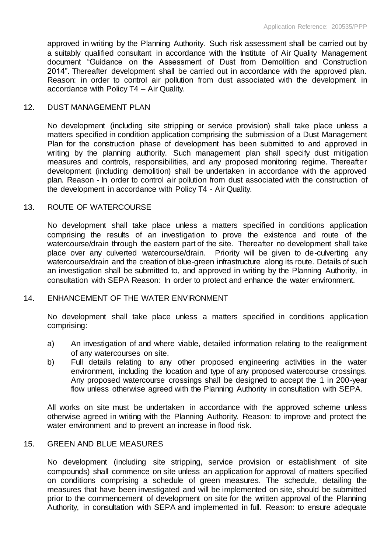approved in writing by the Planning Authority. Such risk assessment shall be carried out by a suitably qualified consultant in accordance with the Institute of Air Quality Management document "Guidance on the Assessment of Dust from Demolition and Construction 2014". Thereafter development shall be carried out in accordance with the approved plan. Reason: in order to control air pollution from dust associated with the development in accordance with Policy T4 – Air Quality.

#### 12. DUST MANAGEMENT PLAN

No development (including site stripping or service provision) shall take place unless a matters specified in condition application comprising the submission of a Dust Management Plan for the construction phase of development has been submitted to and approved in writing by the planning authority. Such management plan shall specify dust mitigation measures and controls, responsibilities, and any proposed monitoring regime. Thereafter development (including demolition) shall be undertaken in accordance with the approved plan. Reason - In order to control air pollution from dust associated with the construction of the development in accordance with Policy T4 - Air Quality.

#### 13. ROUTE OF WATERCOURSE

No development shall take place unless a matters specified in conditions application comprising the results of an investigation to prove the existence and route of the watercourse/drain through the eastern part of the site. Thereafter no development shall take place over any culverted watercourse/drain. Priority will be given to de-culverting any watercourse/drain and the creation of blue-green infrastructure along its route. Details of such an investigation shall be submitted to, and approved in writing by the Planning Authority, in consultation with SEPA Reason: In order to protect and enhance the water environment.

#### 14. ENHANCEMENT OF THE WATER ENVIRONMENT

No development shall take place unless a matters specified in conditions application comprising:

- a) An investigation of and where viable, detailed information relating to the realignment of any watercourses on site.
- b) Full details relating to any other proposed engineering activities in the water environment, including the location and type of any proposed watercourse crossings. Any proposed watercourse crossings shall be designed to accept the 1 in 200-year flow unless otherwise agreed with the Planning Authority in consultation with SEPA.

All works on site must be undertaken in accordance with the approved scheme unless otherwise agreed in writing with the Planning Authority. Reason: to improve and protect the water environment and to prevent an increase in flood risk.

#### 15. GREEN AND BLUE MEASURES

No development (including site stripping, service provision or establishment of site compounds) shall commence on site unless an application for approval of matters specified on conditions comprising a schedule of green measures. The schedule, detailing the measures that have been investigated and will be implemented on site, should be submitted prior to the commencement of development on site for the written approval of the Planning Authority, in consultation with SEPA and implemented in full. Reason: to ensure adequate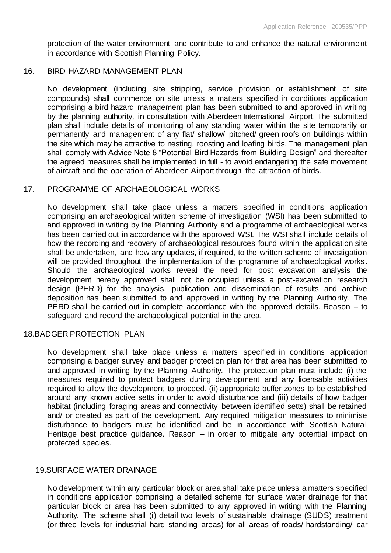protection of the water environment and contribute to and enhance the natural environment in accordance with Scottish Planning Policy.

#### 16. BIRD HAZARD MANAGEMENT PLAN

No development (including site stripping, service provision or establishment of site compounds) shall commence on site unless a matters specified in conditions application comprising a bird hazard management plan has been submitted to and approved in writing by the planning authority, in consultation with Aberdeen International Airport. The submitted plan shall include details of monitoring of any standing water within the site temporarily or permanently and management of any flat/ shallow/ pitched/ green roofs on buildings within the site which may be attractive to nesting, roosting and loafing birds. The management plan shall comply with Advice Note 8 "Potential Bird Hazards from Building Design" and thereafter the agreed measures shall be implemented in full - to avoid endangering the safe movement of aircraft and the operation of Aberdeen Airport through the attraction of birds.

#### 17. PROGRAMME OF ARCHAEOLOGICAL WORKS

No development shall take place unless a matters specified in conditions application comprising an archaeological written scheme of investigation (WSI) has been submitted to and approved in writing by the Planning Authority and a programme of archaeological works has been carried out in accordance with the approved WSI. The WSI shall include details of how the recording and recovery of archaeological resources found within the application site shall be undertaken, and how any updates, if required, to the written scheme of investigation will be provided throughout the implementation of the programme of archaeological works. Should the archaeological works reveal the need for post excavation analysis the development hereby approved shall not be occupied unless a post-excavation research design (PERD) for the analysis, publication and dissemination of results and archive deposition has been submitted to and approved in writing by the Planning Authority. The PERD shall be carried out in complete accordance with the approved details. Reason – to safeguard and record the archaeological potential in the area.

#### 18.BADGER PROTECTION PLAN

No development shall take place unless a matters specified in conditions application comprising a badger survey and badger protection plan for that area has been submitted to and approved in writing by the Planning Authority. The protection plan must include (i) the measures required to protect badgers during development and any licensable activities required to allow the development to proceed, (ii) appropriate buffer zones to be established around any known active setts in order to avoid disturbance and (iii) details of how badger habitat (including foraging areas and connectivity between identified setts) shall be retained and/ or created as part of the development. Any required mitigation measures to minimise disturbance to badgers must be identified and be in accordance with Scottish Natural Heritage best practice guidance. Reason – in order to mitigate any potential impact on protected species.

#### 19.SURFACE WATER DRAINAGE

No development within any particular block or area shall take place unless a matters specified in conditions application comprising a detailed scheme for surface water drainage for that particular block or area has been submitted to any approved in writing with the Planning Authority. The scheme shall (i) detail two levels of sustainable drainage (SUDS) treatment (or three levels for industrial hard standing areas) for all areas of roads/ hardstanding/ car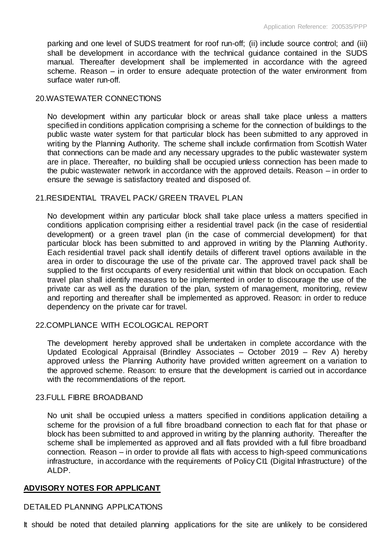parking and one level of SUDS treatment for roof run-off; (ii) include source control; and (iii) shall be development in accordance with the technical guidance contained in the SUDS manual. Thereafter development shall be implemented in accordance with the agreed scheme. Reason – in order to ensure adequate protection of the water environment from surface water run-off.

#### 20.WASTEWATER CONNECTIONS

No development within any particular block or areas shall take place unless a matters specified in conditions application comprising a scheme for the connection of buildings to the public waste water system for that particular block has been submitted to any approved in writing by the Planning Authority. The scheme shall include confirmation from Scottish Water that connections can be made and any necessary upgrades to the public wastewater system are in place. Thereafter, no building shall be occupied unless connection has been made to the pubic wastewater network in accordance with the approved details. Reason – in order to ensure the sewage is satisfactory treated and disposed of.

#### 21.RESIDENTIAL TRAVEL PACK/ GREEN TRAVEL PLAN

No development within any particular block shall take place unless a matters specified in conditions application comprising either a residential travel pack (in the case of residential development) or a green travel plan (in the case of commercial development) for that particular block has been submitted to and approved in writing by the Planning Authority. Each residential travel pack shall identify details of different travel options available in the area in order to discourage the use of the private car. The approved travel pack shall be supplied to the first occupants of every residential unit within that block on occupation. Each travel plan shall identify measures to be implemented in order to discourage the use of the private car as well as the duration of the plan, system of management, monitoring, review and reporting and thereafter shall be implemented as approved. Reason: in order to reduce dependency on the private car for travel.

# 22.COMPLIANCE WITH ECOLOGICAL REPORT

The development hereby approved shall be undertaken in complete accordance with the Updated Ecological Appraisal (Brindley Associates – October 2019 – Rev A) hereby approved unless the Planning Authority have provided written agreement on a variation to the approved scheme. Reason: to ensure that the development is carried out in accordance with the recommendations of the report.

#### 23.FULL FIBRE BROADBAND

No unit shall be occupied unless a matters specified in conditions application detailing a scheme for the provision of a full fibre broadband connection to each flat for that phase or block has been submitted to and approved in writing by the planning authority. Thereafter the scheme shall be implemented as approved and all flats provided with a full fibre broadband connection. Reason – in order to provide all flats with access to high-speed communications infrastructure, in accordance with the requirements of Policy CI1 (Digital Infrastructure) of the ALDP.

# **ADVISORY NOTES FOR APPLICANT**

# DETAILED PLANNING APPLICATIONS

It should be noted that detailed planning applications for the site are unlikely to be considered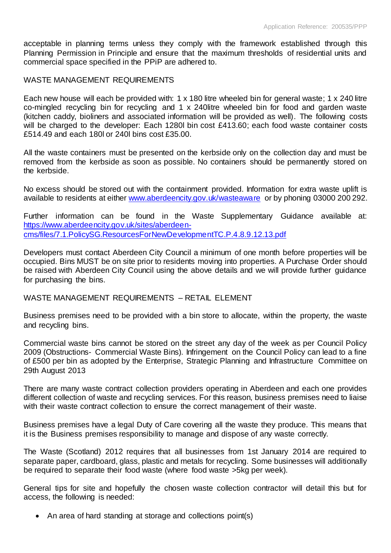acceptable in planning terms unless they comply with the framework established through this Planning Permission in Principle and ensure that the maximum thresholds of residential units and commercial space specified in the PPiP are adhered to.

#### WASTE MANAGEMENT REQUIREMENTS

Each new house will each be provided with: 1 x 180 litre wheeled bin for general waste; 1 x 240 litre co-mingled recycling bin for recycling and 1 x 240litre wheeled bin for food and garden waste (kitchen caddy, bioliners and associated information will be provided as well). The following costs will be charged to the developer: Each 1280l bin cost £413.60; each food waste container costs £514.49 and each 180l or 240l bins cost £35.00.

All the waste containers must be presented on the kerbside only on the collection day and must be removed from the kerbside as soon as possible. No containers should be permanently stored on the kerbside.

No excess should be stored out with the containment provided. Information for extra waste uplift is available to residents at either [www.aberdeencity.gov.uk/wasteaware](http://www.aberdeencity.gov.uk/wasteaware) or by phoning 03000 200 292.

Further information can be found in the Waste Supplementary Guidance available at: [https://www.aberdeencity.gov.uk/sites/aberdeen](https://www.aberdeencity.gov.uk/sites/aberdeen-cms/files/7.1.PolicySG.ResourcesForNewDevelopmentTC.P.4.8.9.12.13.pdf)[cms/files/7.1.PolicySG.ResourcesForNewDevelopmentTC.P.4.8.9.12.13.pdf](https://www.aberdeencity.gov.uk/sites/aberdeen-cms/files/7.1.PolicySG.ResourcesForNewDevelopmentTC.P.4.8.9.12.13.pdf)

Developers must contact Aberdeen City Council a minimum of one month before properties will be occupied. Bins MUST be on site prior to residents moving into properties. A Purchase Order should be raised with Aberdeen City Council using the above details and we will provide further guidance for purchasing the bins.

#### WASTE MANAGEMENT REQUIREMENTS – RETAIL ELEMENT

Business premises need to be provided with a bin store to allocate, within the property, the waste and recycling bins.

Commercial waste bins cannot be stored on the street any day of the week as per Council Policy 2009 (Obstructions- Commercial Waste Bins). Infringement on the Council Policy can lead to a fine of £500 per bin as adopted by the Enterprise, Strategic Planning and Infrastructure Committee on 29th August 2013

There are many waste contract collection providers operating in Aberdeen and each one provides different collection of waste and recycling services. For this reason, business premises need to liaise with their waste contract collection to ensure the correct management of their waste.

Business premises have a legal Duty of Care covering all the waste they produce. This means that it is the Business premises responsibility to manage and dispose of any waste correctly.

The Waste (Scotland) 2012 requires that all businesses from 1st January 2014 are required to separate paper, cardboard, glass, plastic and metals for recycling. Some businesses will additionally be required to separate their food waste (where food waste >5kg per week).

General tips for site and hopefully the chosen waste collection contractor will detail this but for access, the following is needed:

• An area of hard standing at storage and collections point(s)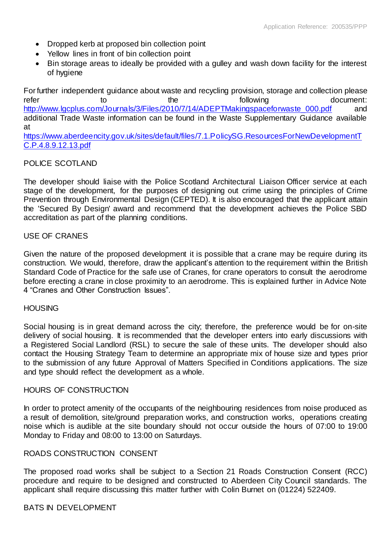- Dropped kerb at proposed bin collection point
- Yellow lines in front of bin collection point
- Bin storage areas to ideally be provided with a gulley and wash down facility for the interest of hygiene

For further independent guidance about waste and recycling provision, storage and collection please refer to the the following the following document: [http://www.lgcplus.com/Journals/3/Files/2010/7/14/ADEPTMakingspaceforwaste\\_000.pdf](http://www.lgcplus.com/Journals/3/Files/2010/7/14/ADEPTMakingspaceforwaste_000.pdf) and additional Trade Waste information can be found in the Waste Supplementary Guidance available at

[https://www.aberdeencity.gov.uk/sites/default/files/7.1.PolicySG.ResourcesForNewDevelopmentT](https://www.aberdeencity.gov.uk/sites/default/files/7.1.PolicySG.ResourcesForNewDevelopmentTC.P.4.8.9.12.13.pdf) [C.P.4.8.9.12.13.pdf](https://www.aberdeencity.gov.uk/sites/default/files/7.1.PolicySG.ResourcesForNewDevelopmentTC.P.4.8.9.12.13.pdf)

#### POLICE SCOTLAND

The developer should liaise with the Police Scotland Architectural Liaison Officer service at each stage of the development, for the purposes of designing out crime using the principles of Crime Prevention through Environmental Design (CEPTED). It is also encouraged that the applicant attain the 'Secured By Design' award and recommend that the development achieves the Police SBD accreditation as part of the planning conditions.

#### USE OF CRANES

Given the nature of the proposed development it is possible that a crane may be require during its construction. We would, therefore, draw the applicant's attention to the requirement within the British Standard Code of Practice for the safe use of Cranes, for crane operators to consult the aerodrome before erecting a crane in close proximity to an aerodrome. This is explained further in Advice Note 4 "Cranes and Other Construction Issues".

#### **HOUSING**

Social housing is in great demand across the city; therefore, the preference would be for on-site delivery of social housing. It is recommended that the developer enters into early discussions with a Registered Social Landlord (RSL) to secure the sale of these units. The developer should also contact the Housing Strategy Team to determine an appropriate mix of house size and types prior to the submission of any future Approval of Matters Specified in Conditions applications. The size and type should reflect the development as a whole.

#### HOURS OF CONSTRUCTION

In order to protect amenity of the occupants of the neighbouring residences from noise produced as a result of demolition, site/ground preparation works, and construction works, operations creating noise which is audible at the site boundary should not occur outside the hours of 07:00 to 19:00 Monday to Friday and 08:00 to 13:00 on Saturdays.

#### ROADS CONSTRUCTION CONSENT

The proposed road works shall be subject to a Section 21 Roads Construction Consent (RCC) procedure and require to be designed and constructed to Aberdeen City Council standards. The applicant shall require discussing this matter further with Colin Burnet on (01224) 522409.

#### BATS IN DEVELOPMENT